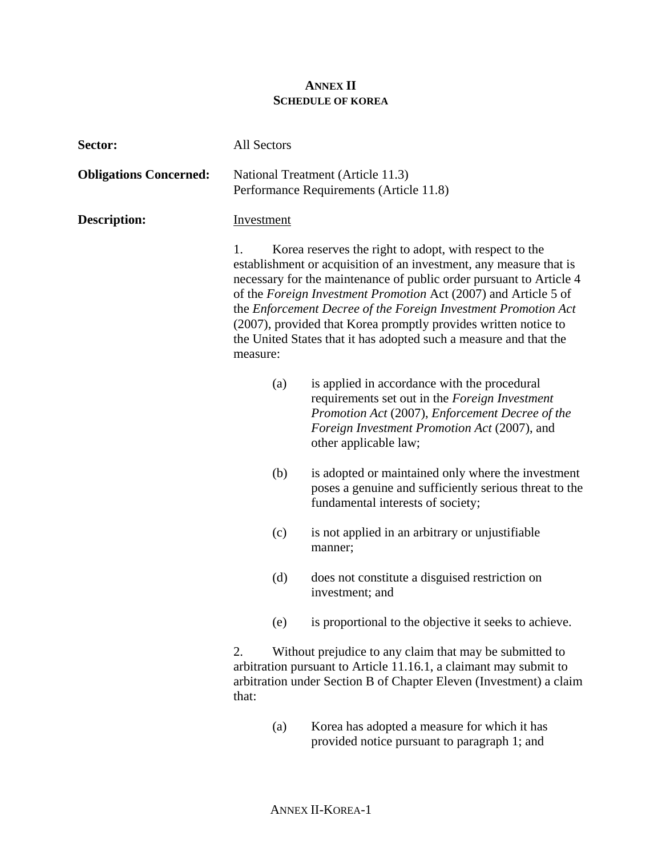## **ANNEX II SCHEDULE OF KOREA**

| Sector:                       | All Sectors                                                                                                                                                                                                                                                                                                                                                                                                                                                                                                             |                                                                                                                                                                                                                            |
|-------------------------------|-------------------------------------------------------------------------------------------------------------------------------------------------------------------------------------------------------------------------------------------------------------------------------------------------------------------------------------------------------------------------------------------------------------------------------------------------------------------------------------------------------------------------|----------------------------------------------------------------------------------------------------------------------------------------------------------------------------------------------------------------------------|
| <b>Obligations Concerned:</b> |                                                                                                                                                                                                                                                                                                                                                                                                                                                                                                                         | National Treatment (Article 11.3)<br>Performance Requirements (Article 11.8)                                                                                                                                               |
| <b>Description:</b>           | <b>Investment</b><br>Korea reserves the right to adopt, with respect to the<br>1.<br>establishment or acquisition of an investment, any measure that is<br>necessary for the maintenance of public order pursuant to Article 4<br>of the Foreign Investment Promotion Act (2007) and Article 5 of<br>the Enforcement Decree of the Foreign Investment Promotion Act<br>(2007), provided that Korea promptly provides written notice to<br>the United States that it has adopted such a measure and that the<br>measure: |                                                                                                                                                                                                                            |
|                               |                                                                                                                                                                                                                                                                                                                                                                                                                                                                                                                         |                                                                                                                                                                                                                            |
|                               | (a)                                                                                                                                                                                                                                                                                                                                                                                                                                                                                                                     | is applied in accordance with the procedural<br>requirements set out in the Foreign Investment<br>Promotion Act (2007), Enforcement Decree of the<br>Foreign Investment Promotion Act (2007), and<br>other applicable law; |
|                               | (b)                                                                                                                                                                                                                                                                                                                                                                                                                                                                                                                     | is adopted or maintained only where the investment<br>poses a genuine and sufficiently serious threat to the<br>fundamental interests of society;                                                                          |
|                               | (c)                                                                                                                                                                                                                                                                                                                                                                                                                                                                                                                     | is not applied in an arbitrary or unjustifiable<br>manner;                                                                                                                                                                 |
|                               | (d)                                                                                                                                                                                                                                                                                                                                                                                                                                                                                                                     | does not constitute a disguised restriction on<br>investment; and                                                                                                                                                          |
|                               | (e)                                                                                                                                                                                                                                                                                                                                                                                                                                                                                                                     | is proportional to the objective it seeks to achieve.                                                                                                                                                                      |
|                               | Without prejudice to any claim that may be submitted to<br>2.<br>arbitration pursuant to Article 11.16.1, a claimant may submit to<br>arbitration under Section B of Chapter Eleven (Investment) a claim<br>that:                                                                                                                                                                                                                                                                                                       |                                                                                                                                                                                                                            |
|                               | (a)                                                                                                                                                                                                                                                                                                                                                                                                                                                                                                                     | Korea has adopted a measure for which it has<br>provided notice pursuant to paragraph 1; and                                                                                                                               |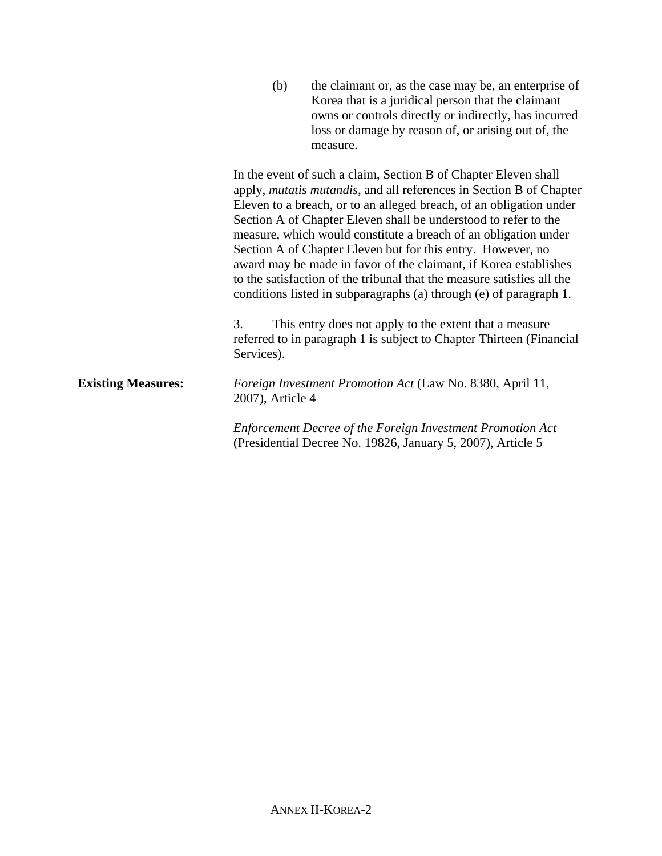|                           | (b)<br>the claimant or, as the case may be, an enterprise of<br>Korea that is a juridical person that the claimant<br>owns or controls directly or indirectly, has incurred<br>loss or damage by reason of, or arising out of, the<br>measure.                                                                                                                                                                                                                                                                                                                                                                                         |
|---------------------------|----------------------------------------------------------------------------------------------------------------------------------------------------------------------------------------------------------------------------------------------------------------------------------------------------------------------------------------------------------------------------------------------------------------------------------------------------------------------------------------------------------------------------------------------------------------------------------------------------------------------------------------|
|                           | In the event of such a claim, Section B of Chapter Eleven shall<br>apply, mutatis mutandis, and all references in Section B of Chapter<br>Eleven to a breach, or to an alleged breach, of an obligation under<br>Section A of Chapter Eleven shall be understood to refer to the<br>measure, which would constitute a breach of an obligation under<br>Section A of Chapter Eleven but for this entry. However, no<br>award may be made in favor of the claimant, if Korea establishes<br>to the satisfaction of the tribunal that the measure satisfies all the<br>conditions listed in subparagraphs (a) through (e) of paragraph 1. |
|                           | 3.<br>This entry does not apply to the extent that a measure<br>referred to in paragraph 1 is subject to Chapter Thirteen (Financial<br>Services).                                                                                                                                                                                                                                                                                                                                                                                                                                                                                     |
| <b>Existing Measures:</b> | Foreign Investment Promotion Act (Law No. 8380, April 11,<br>2007), Article 4                                                                                                                                                                                                                                                                                                                                                                                                                                                                                                                                                          |
|                           | <b>Enforcement Decree of the Foreign Investment Promotion Act</b><br>(Presidential Decree No. 19826, January 5, 2007), Article 5                                                                                                                                                                                                                                                                                                                                                                                                                                                                                                       |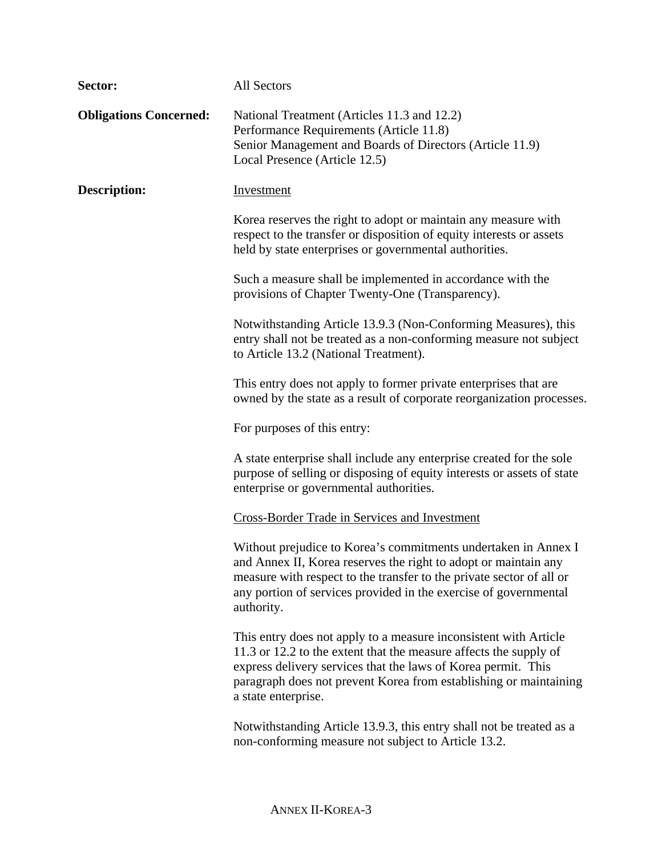| Sector:                       | All Sectors                                                                                                                                                                                                                                                                                        |
|-------------------------------|----------------------------------------------------------------------------------------------------------------------------------------------------------------------------------------------------------------------------------------------------------------------------------------------------|
| <b>Obligations Concerned:</b> | National Treatment (Articles 11.3 and 12.2)<br>Performance Requirements (Article 11.8)<br>Senior Management and Boards of Directors (Article 11.9)<br>Local Presence (Article 12.5)                                                                                                                |
| Description:                  | <b>Investment</b>                                                                                                                                                                                                                                                                                  |
|                               | Korea reserves the right to adopt or maintain any measure with<br>respect to the transfer or disposition of equity interests or assets<br>held by state enterprises or governmental authorities.                                                                                                   |
|                               | Such a measure shall be implemented in accordance with the<br>provisions of Chapter Twenty-One (Transparency).                                                                                                                                                                                     |
|                               | Notwithstanding Article 13.9.3 (Non-Conforming Measures), this<br>entry shall not be treated as a non-conforming measure not subject<br>to Article 13.2 (National Treatment).                                                                                                                      |
|                               | This entry does not apply to former private enterprises that are<br>owned by the state as a result of corporate reorganization processes.                                                                                                                                                          |
|                               | For purposes of this entry:                                                                                                                                                                                                                                                                        |
|                               | A state enterprise shall include any enterprise created for the sole<br>purpose of selling or disposing of equity interests or assets of state<br>enterprise or governmental authorities.                                                                                                          |
|                               | <b>Cross-Border Trade in Services and Investment</b>                                                                                                                                                                                                                                               |
|                               | Without prejudice to Korea's commitments undertaken in Annex I<br>and Annex II, Korea reserves the right to adopt or maintain any<br>measure with respect to the transfer to the private sector of all or<br>any portion of services provided in the exercise of governmental<br>authority.        |
|                               | This entry does not apply to a measure inconsistent with Article<br>11.3 or 12.2 to the extent that the measure affects the supply of<br>express delivery services that the laws of Korea permit. This<br>paragraph does not prevent Korea from establishing or maintaining<br>a state enterprise. |
|                               | Notwithstanding Article 13.9.3, this entry shall not be treated as a<br>non-conforming measure not subject to Article 13.2.                                                                                                                                                                        |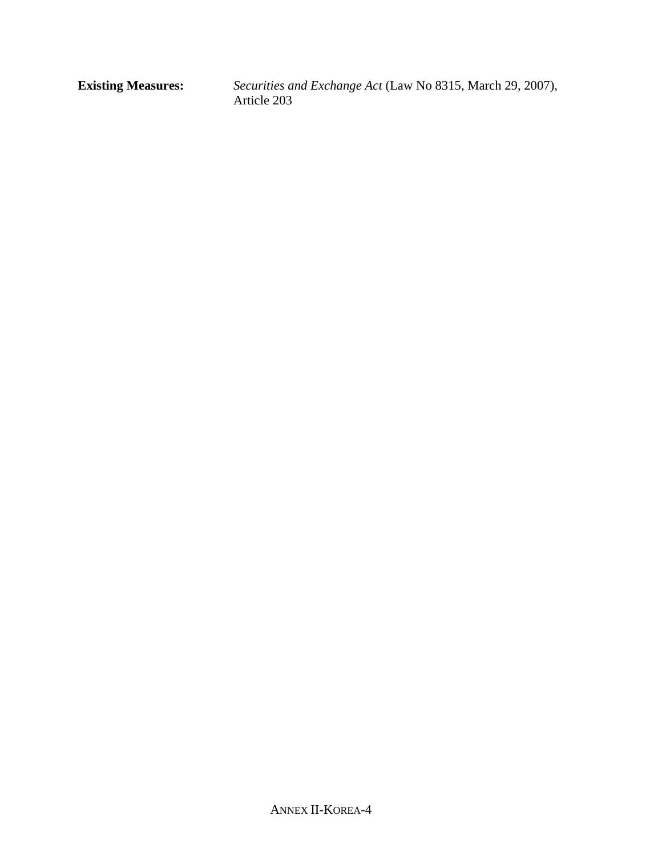**Existing Measures:** *Securities and Exchange Act* (Law No 8315, March 29, 2007), Article 203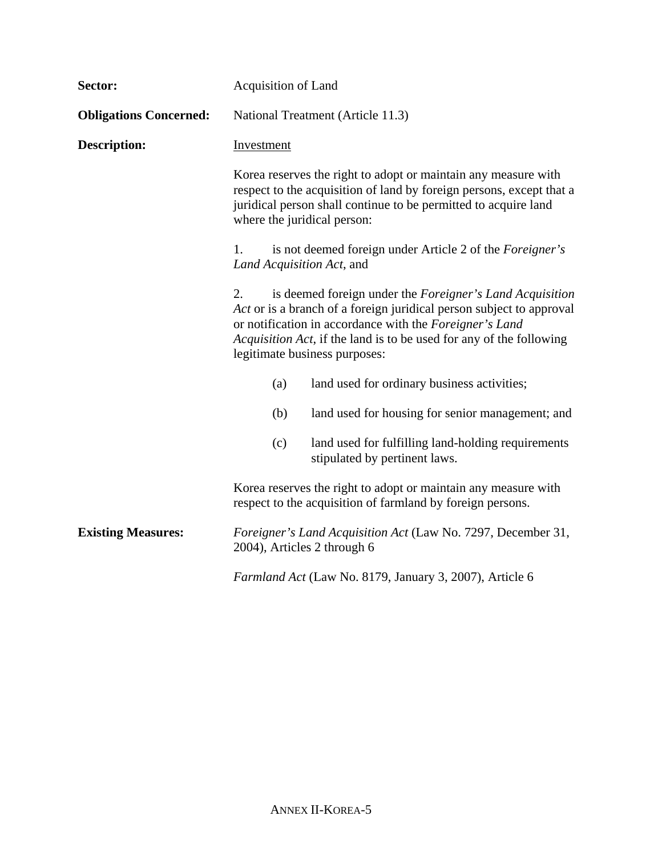| Sector:                       | Acquisition of Land                                                                                                                                                                                                                                                                                                                                                                                                                                                                                                                                                                                                                                                                                                      |                                                                                                                              |
|-------------------------------|--------------------------------------------------------------------------------------------------------------------------------------------------------------------------------------------------------------------------------------------------------------------------------------------------------------------------------------------------------------------------------------------------------------------------------------------------------------------------------------------------------------------------------------------------------------------------------------------------------------------------------------------------------------------------------------------------------------------------|------------------------------------------------------------------------------------------------------------------------------|
| <b>Obligations Concerned:</b> | National Treatment (Article 11.3)                                                                                                                                                                                                                                                                                                                                                                                                                                                                                                                                                                                                                                                                                        |                                                                                                                              |
| <b>Description:</b>           | Investment<br>Korea reserves the right to adopt or maintain any measure with<br>respect to the acquisition of land by foreign persons, except that a<br>juridical person shall continue to be permitted to acquire land<br>where the juridical person:<br>is not deemed foreign under Article 2 of the Foreigner's<br>1.<br>Land Acquisition Act, and<br>is deemed foreign under the Foreigner's Land Acquisition<br>2.<br>Act or is a branch of a foreign juridical person subject to approval<br>or notification in accordance with the Foreigner's Land<br>Acquisition Act, if the land is to be used for any of the following<br>legitimate business purposes:<br>land used for ordinary business activities;<br>(a) |                                                                                                                              |
|                               |                                                                                                                                                                                                                                                                                                                                                                                                                                                                                                                                                                                                                                                                                                                          |                                                                                                                              |
|                               |                                                                                                                                                                                                                                                                                                                                                                                                                                                                                                                                                                                                                                                                                                                          |                                                                                                                              |
|                               |                                                                                                                                                                                                                                                                                                                                                                                                                                                                                                                                                                                                                                                                                                                          |                                                                                                                              |
|                               |                                                                                                                                                                                                                                                                                                                                                                                                                                                                                                                                                                                                                                                                                                                          |                                                                                                                              |
|                               | (b)                                                                                                                                                                                                                                                                                                                                                                                                                                                                                                                                                                                                                                                                                                                      | land used for housing for senior management; and                                                                             |
|                               | (c)                                                                                                                                                                                                                                                                                                                                                                                                                                                                                                                                                                                                                                                                                                                      | land used for fulfilling land-holding requirements<br>stipulated by pertinent laws.                                          |
|                               |                                                                                                                                                                                                                                                                                                                                                                                                                                                                                                                                                                                                                                                                                                                          | Korea reserves the right to adopt or maintain any measure with<br>respect to the acquisition of farmland by foreign persons. |
| <b>Existing Measures:</b>     | Foreigner's Land Acquisition Act (Law No. 7297, December 31,<br>2004), Articles 2 through 6                                                                                                                                                                                                                                                                                                                                                                                                                                                                                                                                                                                                                              |                                                                                                                              |
|                               |                                                                                                                                                                                                                                                                                                                                                                                                                                                                                                                                                                                                                                                                                                                          | Farmland Act (Law No. 8179, January 3, 2007), Article 6                                                                      |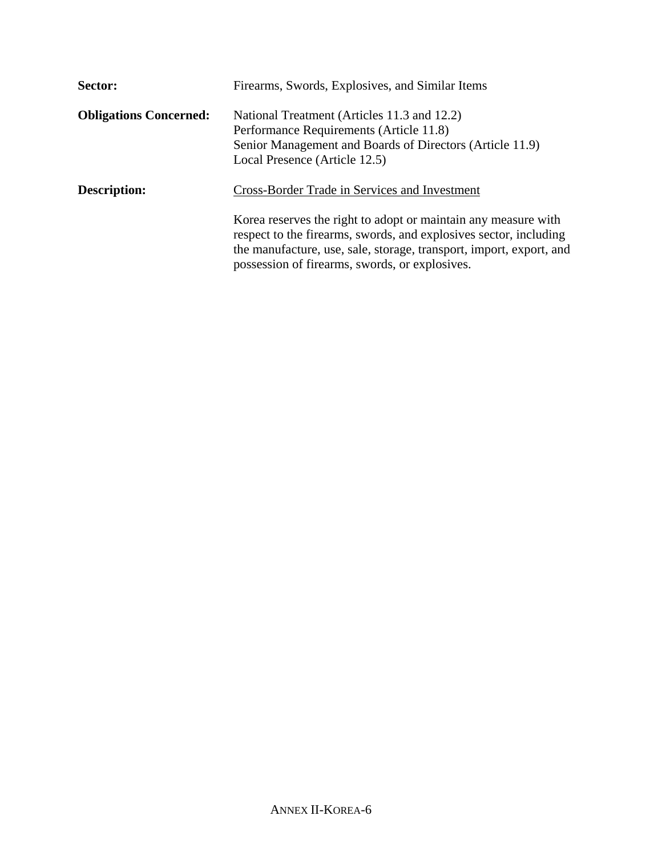| Sector:                       | Firearms, Swords, Explosives, and Similar Items                                                                                                                                                                                                              |
|-------------------------------|--------------------------------------------------------------------------------------------------------------------------------------------------------------------------------------------------------------------------------------------------------------|
| <b>Obligations Concerned:</b> | National Treatment (Articles 11.3 and 12.2)<br>Performance Requirements (Article 11.8)<br>Senior Management and Boards of Directors (Article 11.9)<br>Local Presence (Article 12.5)                                                                          |
| <b>Description:</b>           | Cross-Border Trade in Services and Investment                                                                                                                                                                                                                |
|                               | Korea reserves the right to adopt or maintain any measure with<br>respect to the firearms, swords, and explosives sector, including<br>the manufacture, use, sale, storage, transport, import, export, and<br>possession of firearms, swords, or explosives. |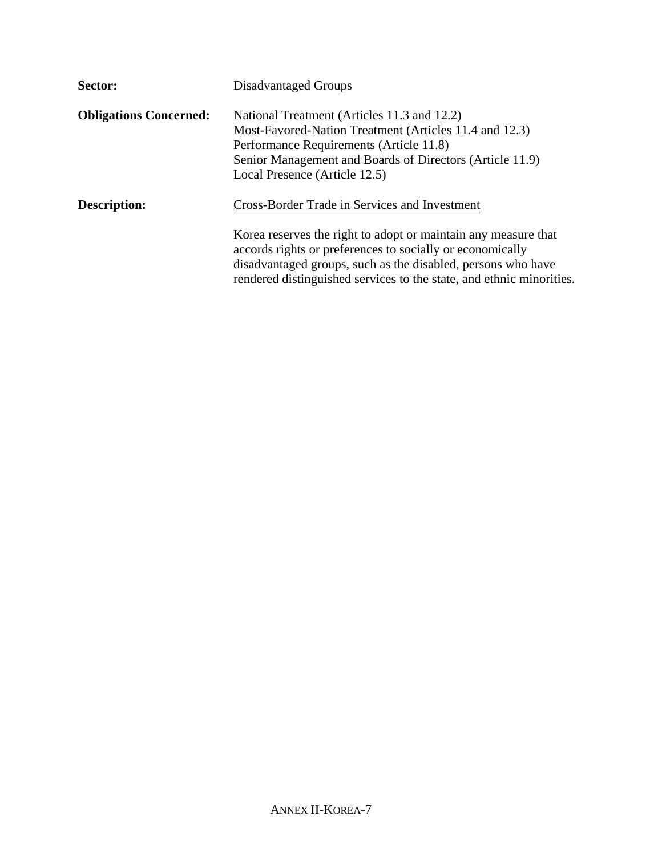| Sector:                       | Disadvantaged Groups                                                                                                                                                                                                                                                |
|-------------------------------|---------------------------------------------------------------------------------------------------------------------------------------------------------------------------------------------------------------------------------------------------------------------|
| <b>Obligations Concerned:</b> | National Treatment (Articles 11.3 and 12.2)<br>Most-Favored-Nation Treatment (Articles 11.4 and 12.3)<br>Performance Requirements (Article 11.8)<br>Senior Management and Boards of Directors (Article 11.9)<br>Local Presence (Article 12.5)                       |
| <b>Description:</b>           | Cross-Border Trade in Services and Investment                                                                                                                                                                                                                       |
|                               | Korea reserves the right to adopt or maintain any measure that<br>accords rights or preferences to socially or economically<br>disadvantaged groups, such as the disabled, persons who have<br>rendered distinguished services to the state, and ethnic minorities. |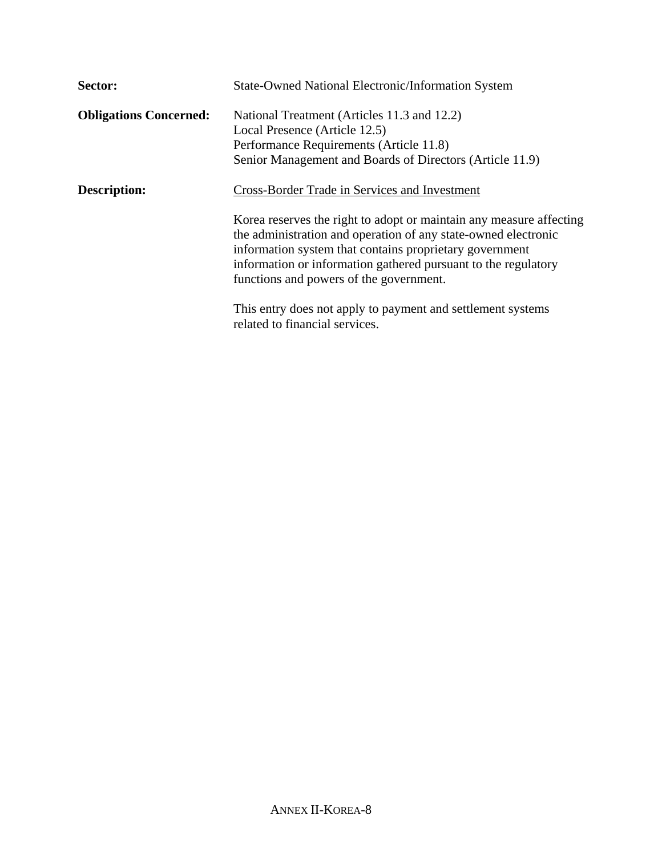| Sector:                       | <b>State-Owned National Electronic/Information System</b>                                                                                                                                                                                                                                                                                                      |
|-------------------------------|----------------------------------------------------------------------------------------------------------------------------------------------------------------------------------------------------------------------------------------------------------------------------------------------------------------------------------------------------------------|
| <b>Obligations Concerned:</b> | National Treatment (Articles 11.3 and 12.2)<br>Local Presence (Article 12.5)<br>Performance Requirements (Article 11.8)<br>Senior Management and Boards of Directors (Article 11.9)                                                                                                                                                                            |
| <b>Description:</b>           | Cross-Border Trade in Services and Investment<br>Korea reserves the right to adopt or maintain any measure affecting<br>the administration and operation of any state-owned electronic<br>information system that contains proprietary government<br>information or information gathered pursuant to the regulatory<br>functions and powers of the government. |
|                               | This entry does not apply to payment and settlement systems<br>related to financial services.                                                                                                                                                                                                                                                                  |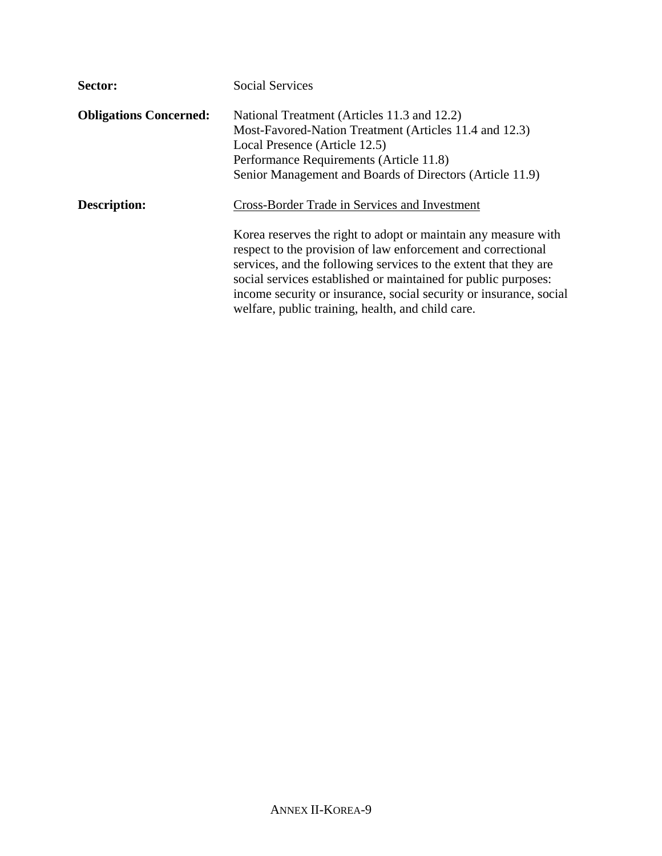| Sector:                       | <b>Social Services</b>                                                                                                                                                                                                                                                                                                                                                                          |  |
|-------------------------------|-------------------------------------------------------------------------------------------------------------------------------------------------------------------------------------------------------------------------------------------------------------------------------------------------------------------------------------------------------------------------------------------------|--|
| <b>Obligations Concerned:</b> | National Treatment (Articles 11.3 and 12.2)<br>Most-Favored-Nation Treatment (Articles 11.4 and 12.3)<br>Local Presence (Article 12.5)<br>Performance Requirements (Article 11.8)                                                                                                                                                                                                               |  |
|                               | Senior Management and Boards of Directors (Article 11.9)                                                                                                                                                                                                                                                                                                                                        |  |
| <b>Description:</b>           | Cross-Border Trade in Services and Investment                                                                                                                                                                                                                                                                                                                                                   |  |
|                               | Korea reserves the right to adopt or maintain any measure with<br>respect to the provision of law enforcement and correctional<br>services, and the following services to the extent that they are<br>social services established or maintained for public purposes:<br>income security or insurance, social security or insurance, social<br>welfare, public training, health, and child care. |  |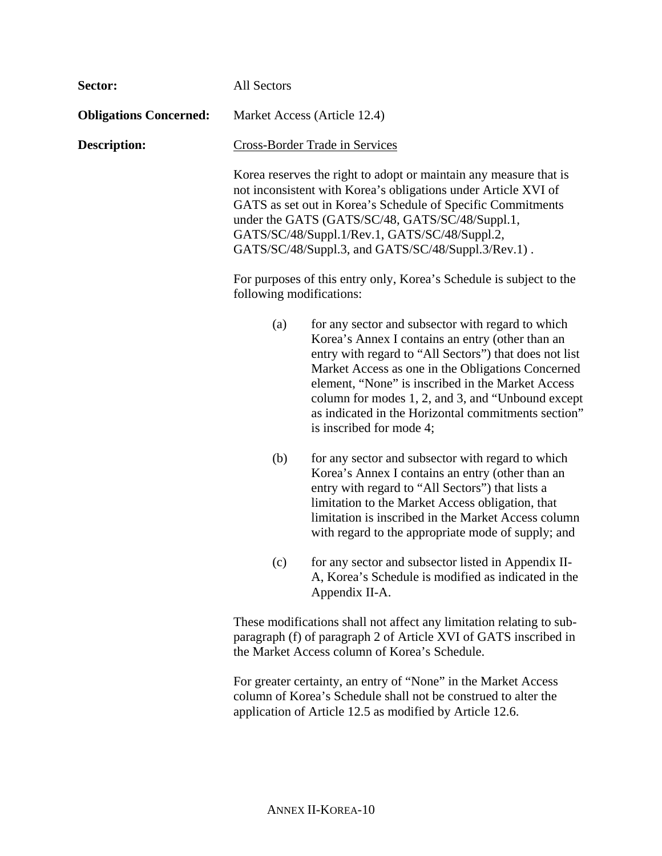| Sector:                       | All Sectors                                                                                                                                                                                                                                                                                                                                                  |                                                                                                                                                                                                                                                                                                                                                                                                                   |  |
|-------------------------------|--------------------------------------------------------------------------------------------------------------------------------------------------------------------------------------------------------------------------------------------------------------------------------------------------------------------------------------------------------------|-------------------------------------------------------------------------------------------------------------------------------------------------------------------------------------------------------------------------------------------------------------------------------------------------------------------------------------------------------------------------------------------------------------------|--|
| <b>Obligations Concerned:</b> |                                                                                                                                                                                                                                                                                                                                                              | Market Access (Article 12.4)                                                                                                                                                                                                                                                                                                                                                                                      |  |
| <b>Description:</b>           |                                                                                                                                                                                                                                                                                                                                                              | Cross-Border Trade in Services                                                                                                                                                                                                                                                                                                                                                                                    |  |
|                               | Korea reserves the right to adopt or maintain any measure that is<br>not inconsistent with Korea's obligations under Article XVI of<br>GATS as set out in Korea's Schedule of Specific Commitments<br>under the GATS (GATS/SC/48, GATS/SC/48/Suppl.1,<br>GATS/SC/48/Suppl.1/Rev.1, GATS/SC/48/Suppl.2,<br>GATS/SC/48/Suppl.3, and GATS/SC/48/Suppl.3/Rev.1). |                                                                                                                                                                                                                                                                                                                                                                                                                   |  |
|                               | following modifications:                                                                                                                                                                                                                                                                                                                                     | For purposes of this entry only, Korea's Schedule is subject to the                                                                                                                                                                                                                                                                                                                                               |  |
|                               | (a)                                                                                                                                                                                                                                                                                                                                                          | for any sector and subsector with regard to which<br>Korea's Annex I contains an entry (other than an<br>entry with regard to "All Sectors") that does not list<br>Market Access as one in the Obligations Concerned<br>element, "None" is inscribed in the Market Access<br>column for modes 1, 2, and 3, and "Unbound except<br>as indicated in the Horizontal commitments section"<br>is inscribed for mode 4; |  |
|                               | (b)                                                                                                                                                                                                                                                                                                                                                          | for any sector and subsector with regard to which<br>Korea's Annex I contains an entry (other than an<br>entry with regard to "All Sectors") that lists a<br>limitation to the Market Access obligation, that<br>limitation is inscribed in the Market Access column<br>with regard to the appropriate mode of supply; and                                                                                        |  |
|                               | (c)                                                                                                                                                                                                                                                                                                                                                          | for any sector and subsector listed in Appendix II-<br>A, Korea's Schedule is modified as indicated in the<br>Appendix II-A.                                                                                                                                                                                                                                                                                      |  |
|                               |                                                                                                                                                                                                                                                                                                                                                              | These modifications shall not affect any limitation relating to sub-<br>paragraph (f) of paragraph 2 of Article XVI of GATS inscribed in<br>the Market Access column of Korea's Schedule.                                                                                                                                                                                                                         |  |
|                               |                                                                                                                                                                                                                                                                                                                                                              | For greater certainty, an entry of "None" in the Market Access<br>column of Korea's Schedule shall not be construed to alter the<br>application of Article 12.5 as modified by Article 12.6.                                                                                                                                                                                                                      |  |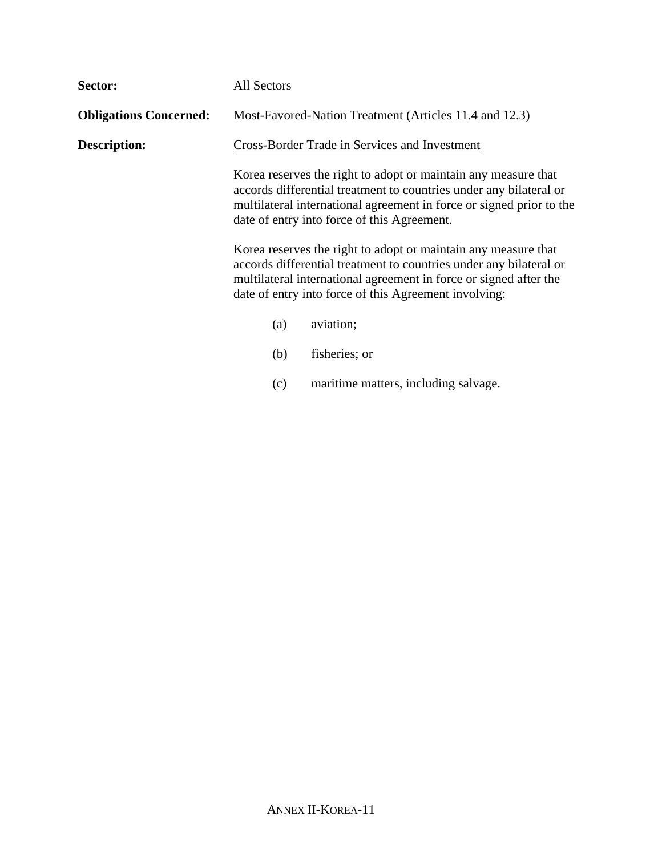| Sector:                       | All Sectors                                                                                                                                                                                                                                                                                                                                                                                                                                                                                                                                                                        |  |
|-------------------------------|------------------------------------------------------------------------------------------------------------------------------------------------------------------------------------------------------------------------------------------------------------------------------------------------------------------------------------------------------------------------------------------------------------------------------------------------------------------------------------------------------------------------------------------------------------------------------------|--|
| <b>Obligations Concerned:</b> | Most-Favored-Nation Treatment (Articles 11.4 and 12.3)                                                                                                                                                                                                                                                                                                                                                                                                                                                                                                                             |  |
| <b>Description:</b>           | Cross-Border Trade in Services and Investment<br>Korea reserves the right to adopt or maintain any measure that<br>accords differential treatment to countries under any bilateral or<br>multilateral international agreement in force or signed prior to the<br>date of entry into force of this Agreement.<br>Korea reserves the right to adopt or maintain any measure that<br>accords differential treatment to countries under any bilateral or<br>multilateral international agreement in force or signed after the<br>date of entry into force of this Agreement involving: |  |
|                               |                                                                                                                                                                                                                                                                                                                                                                                                                                                                                                                                                                                    |  |
|                               |                                                                                                                                                                                                                                                                                                                                                                                                                                                                                                                                                                                    |  |
|                               | aviation;<br>(a)                                                                                                                                                                                                                                                                                                                                                                                                                                                                                                                                                                   |  |
|                               | fisheries; or<br>(b)                                                                                                                                                                                                                                                                                                                                                                                                                                                                                                                                                               |  |
|                               |                                                                                                                                                                                                                                                                                                                                                                                                                                                                                                                                                                                    |  |

(c) maritime matters, including salvage.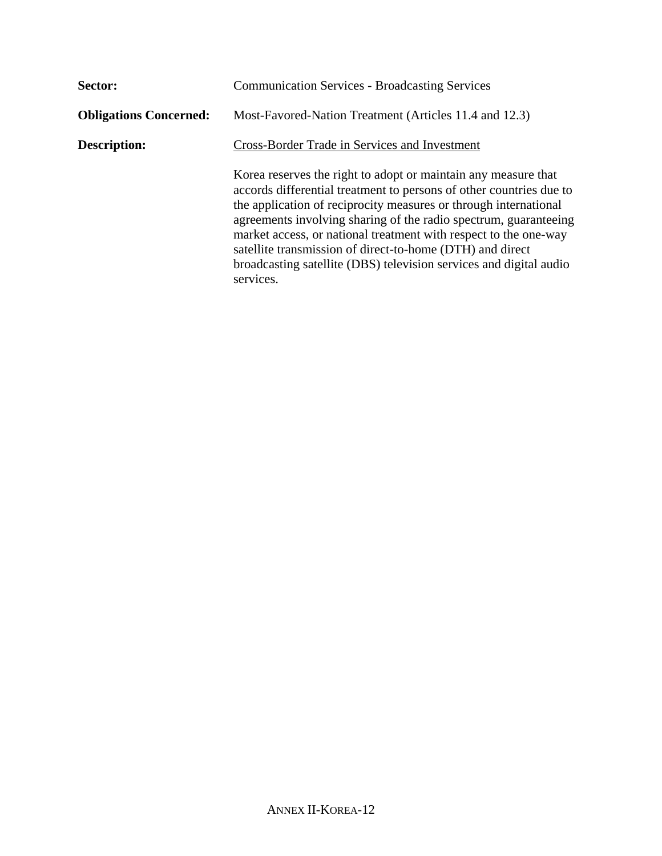| Sector:                       | <b>Communication Services - Broadcasting Services</b>                                                                                                                                                                                                                                                                                                                                                                                                                                             |  |
|-------------------------------|---------------------------------------------------------------------------------------------------------------------------------------------------------------------------------------------------------------------------------------------------------------------------------------------------------------------------------------------------------------------------------------------------------------------------------------------------------------------------------------------------|--|
| <b>Obligations Concerned:</b> | Most-Favored-Nation Treatment (Articles 11.4 and 12.3)                                                                                                                                                                                                                                                                                                                                                                                                                                            |  |
| <b>Description:</b>           | Cross-Border Trade in Services and Investment                                                                                                                                                                                                                                                                                                                                                                                                                                                     |  |
|                               | Korea reserves the right to adopt or maintain any measure that<br>accords differential treatment to persons of other countries due to<br>the application of reciprocity measures or through international<br>agreements involving sharing of the radio spectrum, guaranteeing<br>market access, or national treatment with respect to the one-way<br>satellite transmission of direct-to-home (DTH) and direct<br>broadcasting satellite (DBS) television services and digital audio<br>services. |  |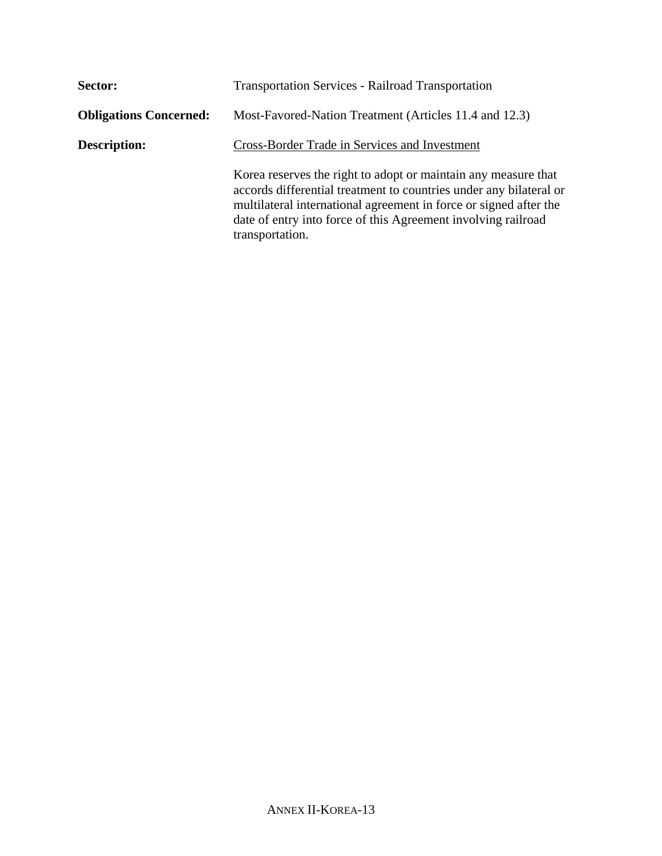| Sector:                       | <b>Transportation Services - Railroad Transportation</b>                                                                                                                                                                                                                                      |  |
|-------------------------------|-----------------------------------------------------------------------------------------------------------------------------------------------------------------------------------------------------------------------------------------------------------------------------------------------|--|
| <b>Obligations Concerned:</b> | Most-Favored-Nation Treatment (Articles 11.4 and 12.3)                                                                                                                                                                                                                                        |  |
| <b>Description:</b>           | Cross-Border Trade in Services and Investment                                                                                                                                                                                                                                                 |  |
|                               | Korea reserves the right to adopt or maintain any measure that<br>accords differential treatment to countries under any bilateral or<br>multilateral international agreement in force or signed after the<br>date of entry into force of this Agreement involving railroad<br>transportation. |  |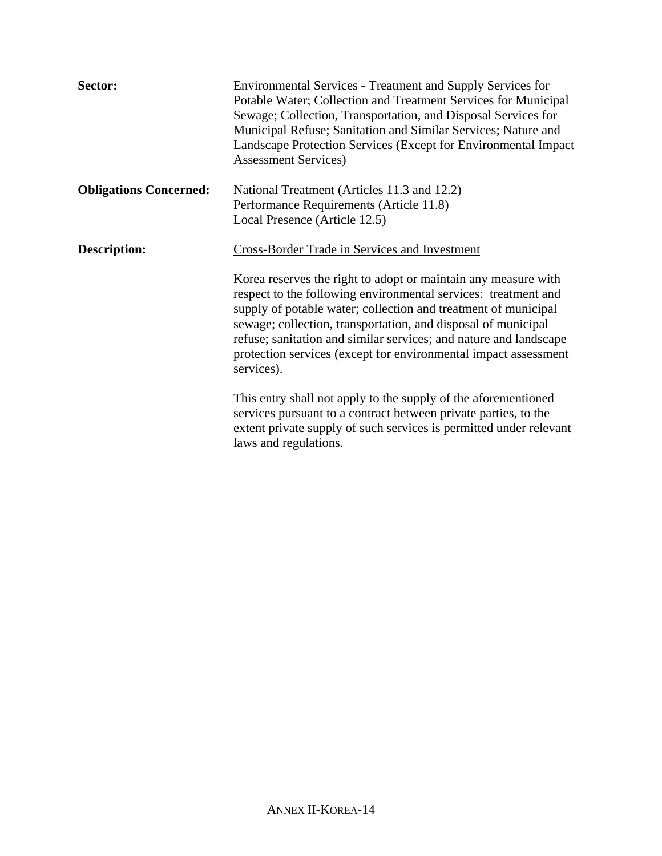| Sector:                       | Environmental Services - Treatment and Supply Services for<br>Potable Water; Collection and Treatment Services for Municipal<br>Sewage; Collection, Transportation, and Disposal Services for<br>Municipal Refuse; Sanitation and Similar Services; Nature and<br>Landscape Protection Services (Except for Environmental Impact)<br><b>Assessment Services</b> )                                                         |  |
|-------------------------------|---------------------------------------------------------------------------------------------------------------------------------------------------------------------------------------------------------------------------------------------------------------------------------------------------------------------------------------------------------------------------------------------------------------------------|--|
| <b>Obligations Concerned:</b> | National Treatment (Articles 11.3 and 12.2)                                                                                                                                                                                                                                                                                                                                                                               |  |
|                               | Performance Requirements (Article 11.8)                                                                                                                                                                                                                                                                                                                                                                                   |  |
|                               | Local Presence (Article 12.5)                                                                                                                                                                                                                                                                                                                                                                                             |  |
| <b>Description:</b>           | <b>Cross-Border Trade in Services and Investment</b>                                                                                                                                                                                                                                                                                                                                                                      |  |
|                               | Korea reserves the right to adopt or maintain any measure with<br>respect to the following environmental services: treatment and<br>supply of potable water; collection and treatment of municipal<br>sewage; collection, transportation, and disposal of municipal<br>refuse; sanitation and similar services; and nature and landscape<br>protection services (except for environmental impact assessment<br>services). |  |
|                               | This entry shall not apply to the supply of the aforementioned<br>services pursuant to a contract between private parties, to the<br>extent private supply of such services is permitted under relevant<br>laws and regulations.                                                                                                                                                                                          |  |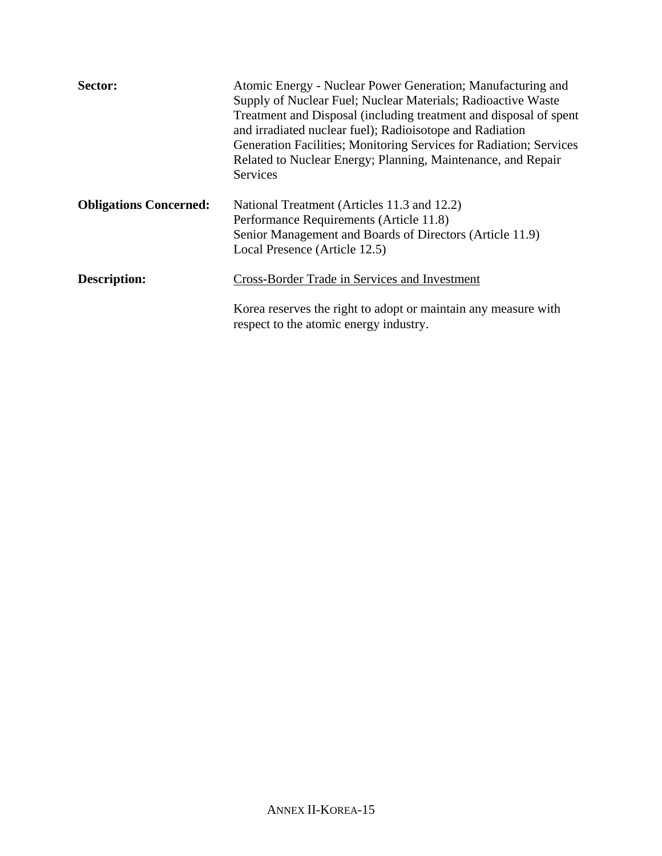| Sector:                       | Atomic Energy - Nuclear Power Generation; Manufacturing and<br>Supply of Nuclear Fuel; Nuclear Materials; Radioactive Waste<br>Treatment and Disposal (including treatment and disposal of spent<br>and irradiated nuclear fuel); Radioisotope and Radiation<br>Generation Facilities; Monitoring Services for Radiation; Services<br>Related to Nuclear Energy; Planning, Maintenance, and Repair<br>Services |
|-------------------------------|----------------------------------------------------------------------------------------------------------------------------------------------------------------------------------------------------------------------------------------------------------------------------------------------------------------------------------------------------------------------------------------------------------------|
| <b>Obligations Concerned:</b> | National Treatment (Articles 11.3 and 12.2)<br>Performance Requirements (Article 11.8)<br>Senior Management and Boards of Directors (Article 11.9)<br>Local Presence (Article 12.5)                                                                                                                                                                                                                            |
| <b>Description:</b>           | Cross-Border Trade in Services and Investment                                                                                                                                                                                                                                                                                                                                                                  |
|                               | Korea reserves the right to adopt or maintain any measure with<br>respect to the atomic energy industry.                                                                                                                                                                                                                                                                                                       |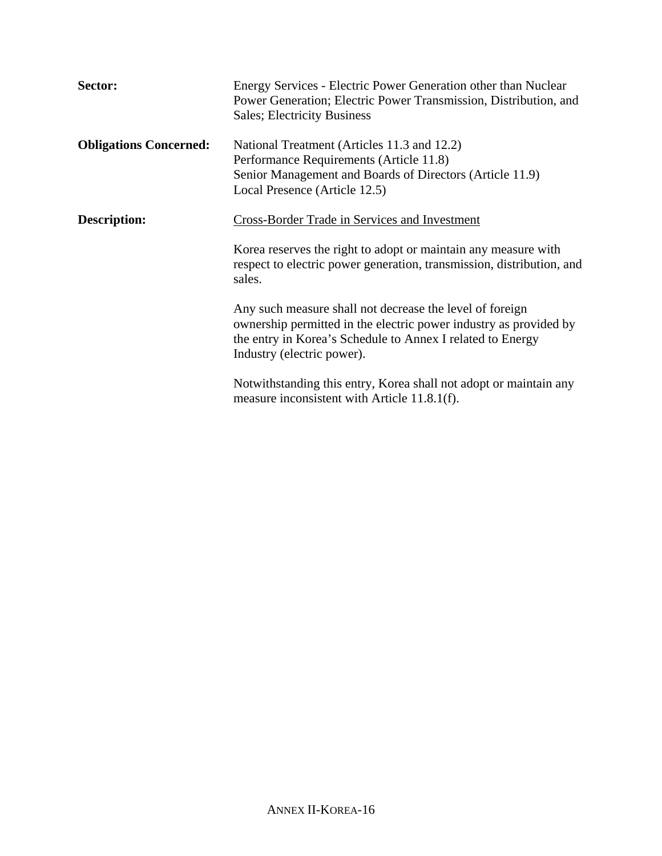| Sector:                       | Energy Services - Electric Power Generation other than Nuclear<br>Power Generation; Electric Power Transmission, Distribution, and<br><b>Sales</b> ; Electricity Business                                                 |  |  |  |
|-------------------------------|---------------------------------------------------------------------------------------------------------------------------------------------------------------------------------------------------------------------------|--|--|--|
| <b>Obligations Concerned:</b> | National Treatment (Articles 11.3 and 12.2)<br>Performance Requirements (Article 11.8)<br>Senior Management and Boards of Directors (Article 11.9)<br>Local Presence (Article 12.5)                                       |  |  |  |
| <b>Description:</b>           | Cross-Border Trade in Services and Investment                                                                                                                                                                             |  |  |  |
|                               | Korea reserves the right to adopt or maintain any measure with<br>respect to electric power generation, transmission, distribution, and<br>sales.                                                                         |  |  |  |
|                               | Any such measure shall not decrease the level of foreign<br>ownership permitted in the electric power industry as provided by<br>the entry in Korea's Schedule to Annex I related to Energy<br>Industry (electric power). |  |  |  |
|                               | Notwithstanding this entry, Korea shall not adopt or maintain any<br>measure inconsistent with Article 11.8.1(f).                                                                                                         |  |  |  |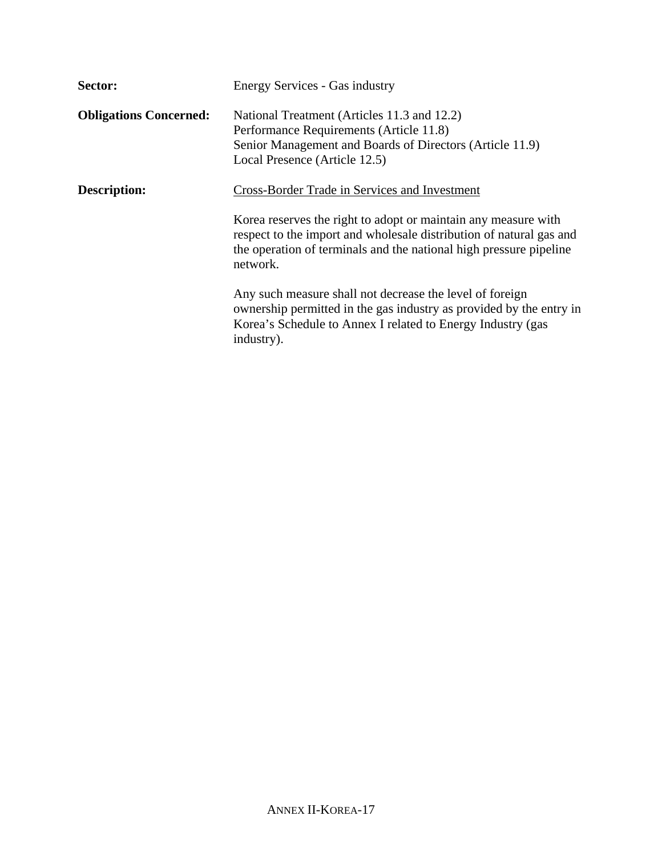| Sector:                       | <b>Energy Services - Gas industry</b>                                                                                                                                                                                   |
|-------------------------------|-------------------------------------------------------------------------------------------------------------------------------------------------------------------------------------------------------------------------|
| <b>Obligations Concerned:</b> | National Treatment (Articles 11.3 and 12.2)<br>Performance Requirements (Article 11.8)<br>Senior Management and Boards of Directors (Article 11.9)<br>Local Presence (Article 12.5)                                     |
| <b>Description:</b>           | Cross-Border Trade in Services and Investment                                                                                                                                                                           |
|                               | Korea reserves the right to adopt or maintain any measure with<br>respect to the import and wholesale distribution of natural gas and<br>the operation of terminals and the national high pressure pipeline<br>network. |
|                               | Any such measure shall not decrease the level of foreign<br>ownership permitted in the gas industry as provided by the entry in<br>Korea's Schedule to Annex I related to Energy Industry (gas<br>industry).            |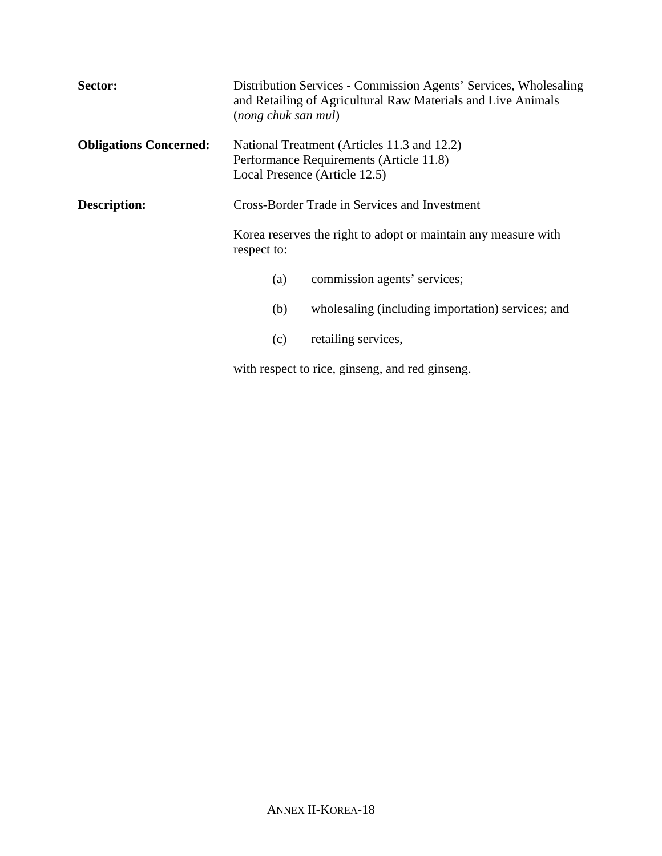| Sector:                       | (nong chuk san mul)                                                                                                     | Distribution Services - Commission Agents' Services, Wholesaling<br>and Retailing of Agricultural Raw Materials and Live Animals |  |
|-------------------------------|-------------------------------------------------------------------------------------------------------------------------|----------------------------------------------------------------------------------------------------------------------------------|--|
| <b>Obligations Concerned:</b> | National Treatment (Articles 11.3 and 12.2)<br>Performance Requirements (Article 11.8)<br>Local Presence (Article 12.5) |                                                                                                                                  |  |
| <b>Description:</b>           | Cross-Border Trade in Services and Investment                                                                           |                                                                                                                                  |  |
|                               | Korea reserves the right to adopt or maintain any measure with<br>respect to:                                           |                                                                                                                                  |  |
|                               | (a)                                                                                                                     | commission agents' services;                                                                                                     |  |
|                               | (b)                                                                                                                     | wholesaling (including importation) services; and                                                                                |  |
|                               | (c)                                                                                                                     | retailing services,                                                                                                              |  |

with respect to rice, ginseng, and red ginseng.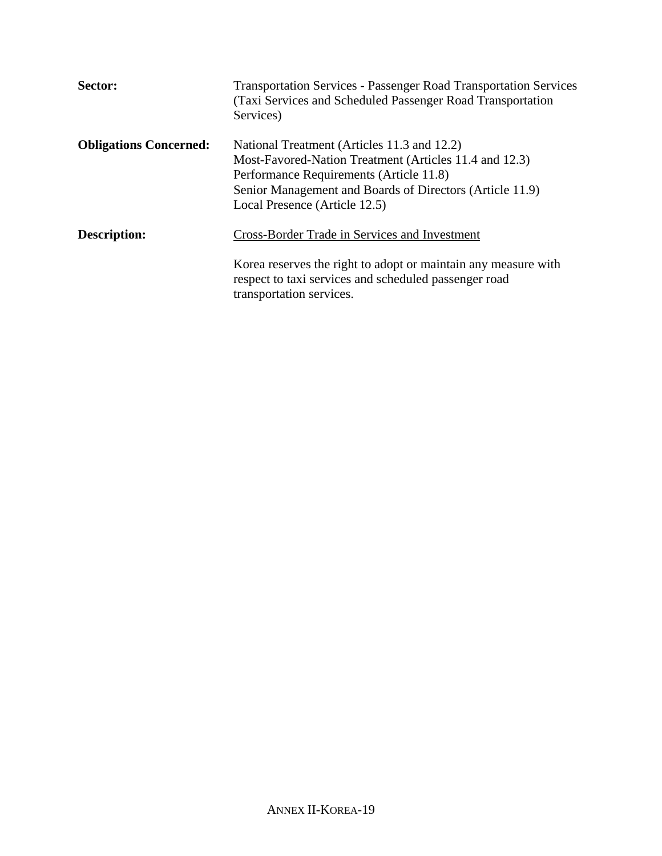| Sector:                       | <b>Transportation Services - Passenger Road Transportation Services</b><br>(Taxi Services and Scheduled Passenger Road Transportation)<br>Services)                                                                                           |
|-------------------------------|-----------------------------------------------------------------------------------------------------------------------------------------------------------------------------------------------------------------------------------------------|
| <b>Obligations Concerned:</b> | National Treatment (Articles 11.3 and 12.2)<br>Most-Favored-Nation Treatment (Articles 11.4 and 12.3)<br>Performance Requirements (Article 11.8)<br>Senior Management and Boards of Directors (Article 11.9)<br>Local Presence (Article 12.5) |
| <b>Description:</b>           | Cross-Border Trade in Services and Investment<br>Korea reserves the right to adopt or maintain any measure with<br>respect to taxi services and scheduled passenger road<br>transportation services.                                          |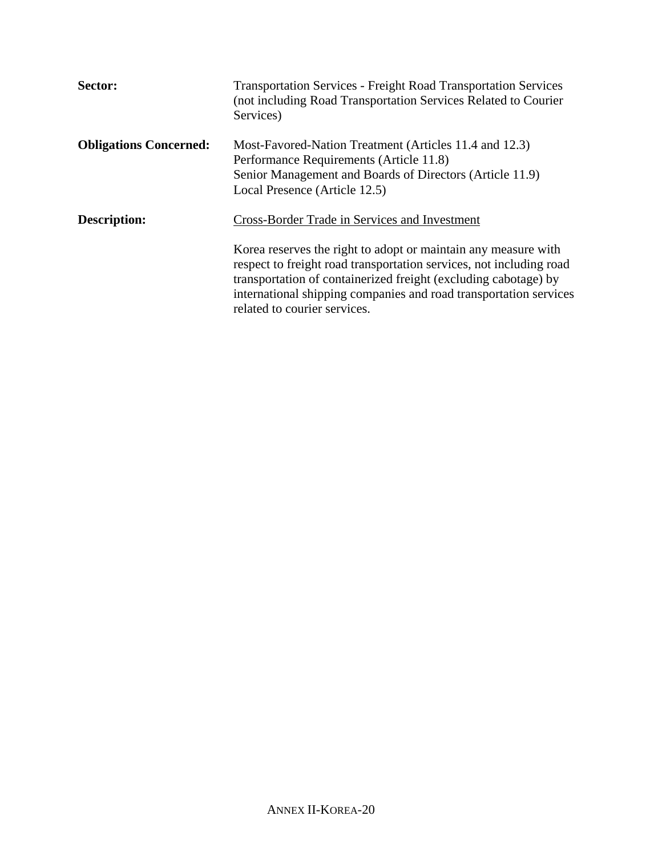| Sector:                       | <b>Transportation Services - Freight Road Transportation Services</b><br>(not including Road Transportation Services Related to Courier)<br>Services)                                                                                                                                                         |  |  |
|-------------------------------|---------------------------------------------------------------------------------------------------------------------------------------------------------------------------------------------------------------------------------------------------------------------------------------------------------------|--|--|
| <b>Obligations Concerned:</b> | Most-Favored-Nation Treatment (Articles 11.4 and 12.3)<br>Performance Requirements (Article 11.8)<br>Senior Management and Boards of Directors (Article 11.9)<br>Local Presence (Article 12.5)                                                                                                                |  |  |
| Description:                  | Cross-Border Trade in Services and Investment                                                                                                                                                                                                                                                                 |  |  |
|                               | Korea reserves the right to adopt or maintain any measure with<br>respect to freight road transportation services, not including road<br>transportation of containerized freight (excluding cabotage) by<br>international shipping companies and road transportation services<br>related to courier services. |  |  |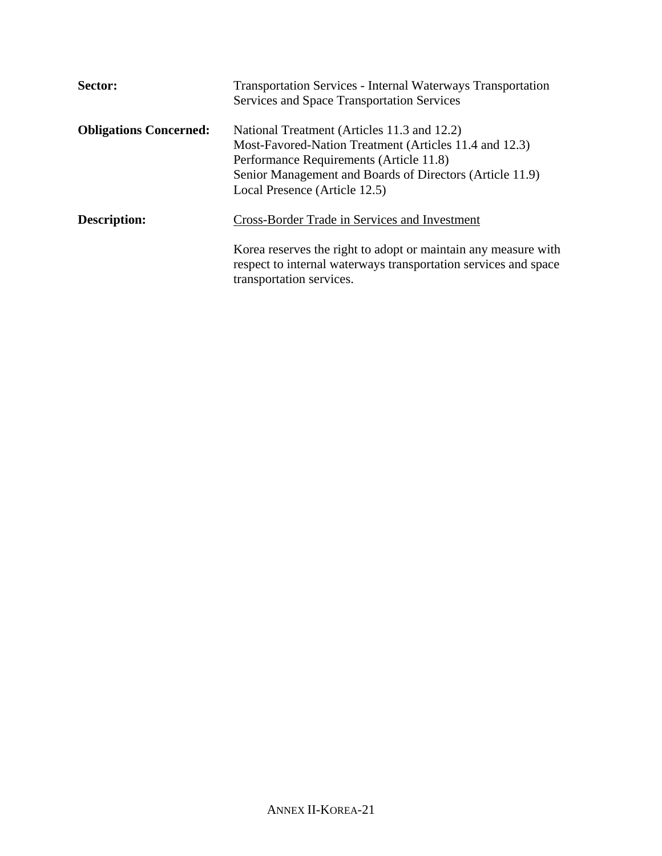| Sector:                       | <b>Transportation Services - Internal Waterways Transportation</b><br><b>Services and Space Transportation Services</b>                                                                                                                       |  |  |
|-------------------------------|-----------------------------------------------------------------------------------------------------------------------------------------------------------------------------------------------------------------------------------------------|--|--|
| <b>Obligations Concerned:</b> | National Treatment (Articles 11.3 and 12.2)<br>Most-Favored-Nation Treatment (Articles 11.4 and 12.3)<br>Performance Requirements (Article 11.8)<br>Senior Management and Boards of Directors (Article 11.9)<br>Local Presence (Article 12.5) |  |  |
| <b>Description:</b>           | <b>Cross-Border Trade in Services and Investment</b>                                                                                                                                                                                          |  |  |
|                               | Korea reserves the right to adopt or maintain any measure with<br>respect to internal waterways transportation services and space<br>transportation services.                                                                                 |  |  |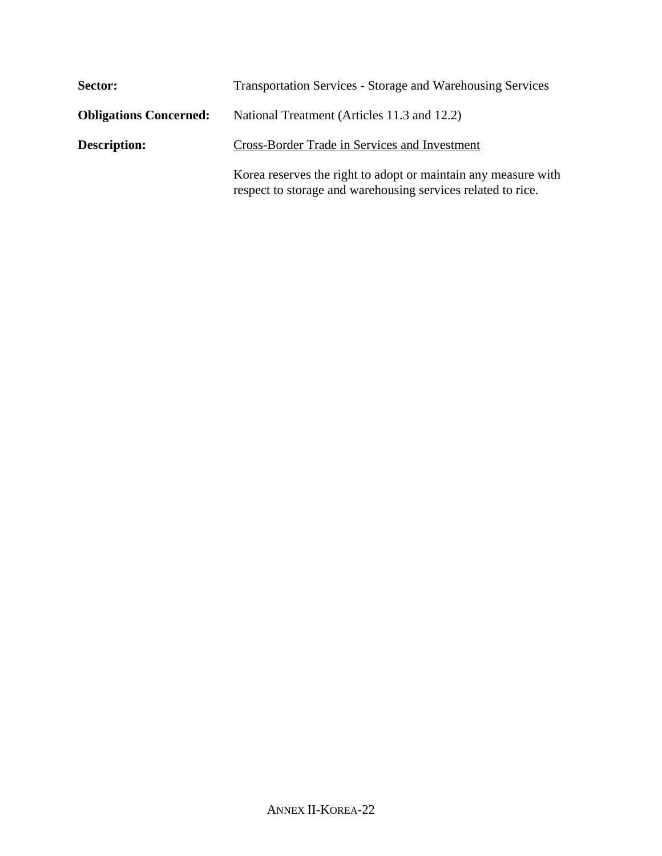| Sector:                       | <b>Transportation Services - Storage and Warehousing Services</b>                                                              |  |  |
|-------------------------------|--------------------------------------------------------------------------------------------------------------------------------|--|--|
| <b>Obligations Concerned:</b> | National Treatment (Articles 11.3 and 12.2)                                                                                    |  |  |
| <b>Description:</b>           | Cross-Border Trade in Services and Investment                                                                                  |  |  |
|                               | Korea reserves the right to adopt or maintain any measure with<br>respect to storage and warehousing services related to rice. |  |  |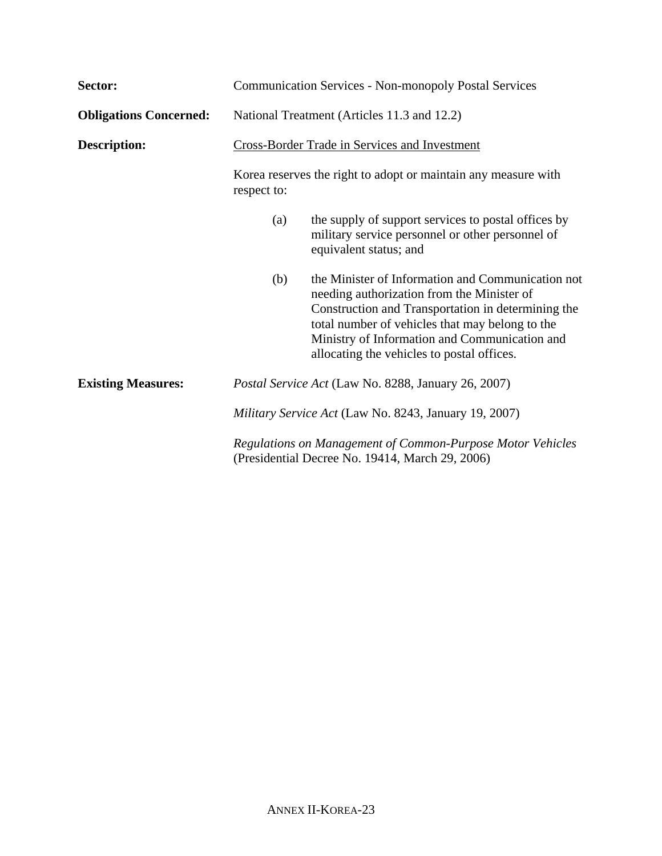| Sector:                       | <b>Communication Services - Non-monopoly Postal Services</b>                                                                                                                                                                         |                                                                                                                                                                                                                                                                                                         |  |
|-------------------------------|--------------------------------------------------------------------------------------------------------------------------------------------------------------------------------------------------------------------------------------|---------------------------------------------------------------------------------------------------------------------------------------------------------------------------------------------------------------------------------------------------------------------------------------------------------|--|
| <b>Obligations Concerned:</b> | National Treatment (Articles 11.3 and 12.2)                                                                                                                                                                                          |                                                                                                                                                                                                                                                                                                         |  |
| <b>Description:</b>           | Cross-Border Trade in Services and Investment                                                                                                                                                                                        |                                                                                                                                                                                                                                                                                                         |  |
|                               | Korea reserves the right to adopt or maintain any measure with<br>respect to:                                                                                                                                                        |                                                                                                                                                                                                                                                                                                         |  |
|                               | (a)                                                                                                                                                                                                                                  | the supply of support services to postal offices by<br>military service personnel or other personnel of<br>equivalent status; and                                                                                                                                                                       |  |
|                               | (b)                                                                                                                                                                                                                                  | the Minister of Information and Communication not<br>needing authorization from the Minister of<br>Construction and Transportation in determining the<br>total number of vehicles that may belong to the<br>Ministry of Information and Communication and<br>allocating the vehicles to postal offices. |  |
| <b>Existing Measures:</b>     | <i>Postal Service Act</i> (Law No. 8288, January 26, 2007)<br>Military Service Act (Law No. 8243, January 19, 2007)<br>Regulations on Management of Common-Purpose Motor Vehicles<br>(Presidential Decree No. 19414, March 29, 2006) |                                                                                                                                                                                                                                                                                                         |  |
|                               |                                                                                                                                                                                                                                      |                                                                                                                                                                                                                                                                                                         |  |
|                               |                                                                                                                                                                                                                                      |                                                                                                                                                                                                                                                                                                         |  |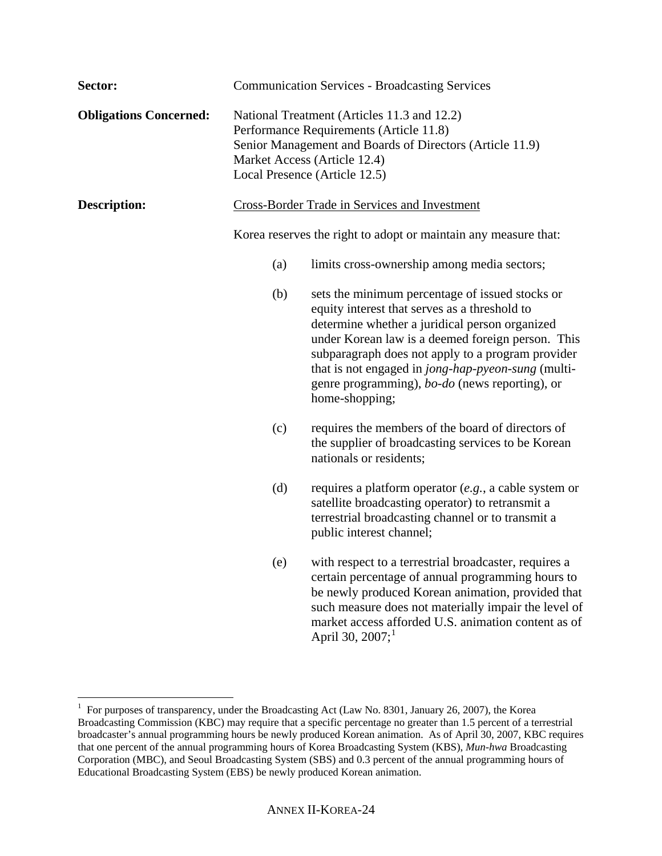| Sector:                       | <b>Communication Services - Broadcasting Services</b>                                                                                                                                                               |                                                                                                                                                                                                                                                                                                                                                                                        |  |
|-------------------------------|---------------------------------------------------------------------------------------------------------------------------------------------------------------------------------------------------------------------|----------------------------------------------------------------------------------------------------------------------------------------------------------------------------------------------------------------------------------------------------------------------------------------------------------------------------------------------------------------------------------------|--|
| <b>Obligations Concerned:</b> | National Treatment (Articles 11.3 and 12.2)<br>Performance Requirements (Article 11.8)<br>Senior Management and Boards of Directors (Article 11.9)<br>Market Access (Article 12.4)<br>Local Presence (Article 12.5) |                                                                                                                                                                                                                                                                                                                                                                                        |  |
| <b>Description:</b>           | <b>Cross-Border Trade in Services and Investment</b>                                                                                                                                                                |                                                                                                                                                                                                                                                                                                                                                                                        |  |
|                               |                                                                                                                                                                                                                     | Korea reserves the right to adopt or maintain any measure that:                                                                                                                                                                                                                                                                                                                        |  |
|                               | (a)                                                                                                                                                                                                                 | limits cross-ownership among media sectors;                                                                                                                                                                                                                                                                                                                                            |  |
|                               | (b)                                                                                                                                                                                                                 | sets the minimum percentage of issued stocks or<br>equity interest that serves as a threshold to<br>determine whether a juridical person organized<br>under Korean law is a deemed foreign person. This<br>subparagraph does not apply to a program provider<br>that is not engaged in jong-hap-pyeon-sung (multi-<br>genre programming), bo-do (news reporting), or<br>home-shopping; |  |
|                               | (c)                                                                                                                                                                                                                 | requires the members of the board of directors of<br>the supplier of broadcasting services to be Korean<br>nationals or residents;                                                                                                                                                                                                                                                     |  |
|                               | (d)                                                                                                                                                                                                                 | requires a platform operator $(e.g., a cable system or$<br>satellite broadcasting operator) to retransmit a<br>terrestrial broadcasting channel or to transmit a<br>public interest channel;                                                                                                                                                                                           |  |
|                               | (e)                                                                                                                                                                                                                 | with respect to a terrestrial broadcaster, requires a<br>certain percentage of annual programming hours to<br>be newly produced Korean animation, provided that<br>such measure does not materially impair the level of<br>market access afforded U.S. animation content as of<br>April 30, 2007; <sup>1</sup>                                                                         |  |

<span id="page-23-0"></span> 1 For purposes of transparency, under the Broadcasting Act (Law No. 8301, January 26, 2007), the Korea Broadcasting Commission (KBC) may require that a specific percentage no greater than 1.5 percent of a terrestrial broadcaster's annual programming hours be newly produced Korean animation. As of April 30, 2007, KBC requires that one percent of the annual programming hours of Korea Broadcasting System (KBS), *Mun-hwa* Broadcasting Corporation (MBC), and Seoul Broadcasting System (SBS) and 0.3 percent of the annual programming hours of Educational Broadcasting System (EBS) be newly produced Korean animation.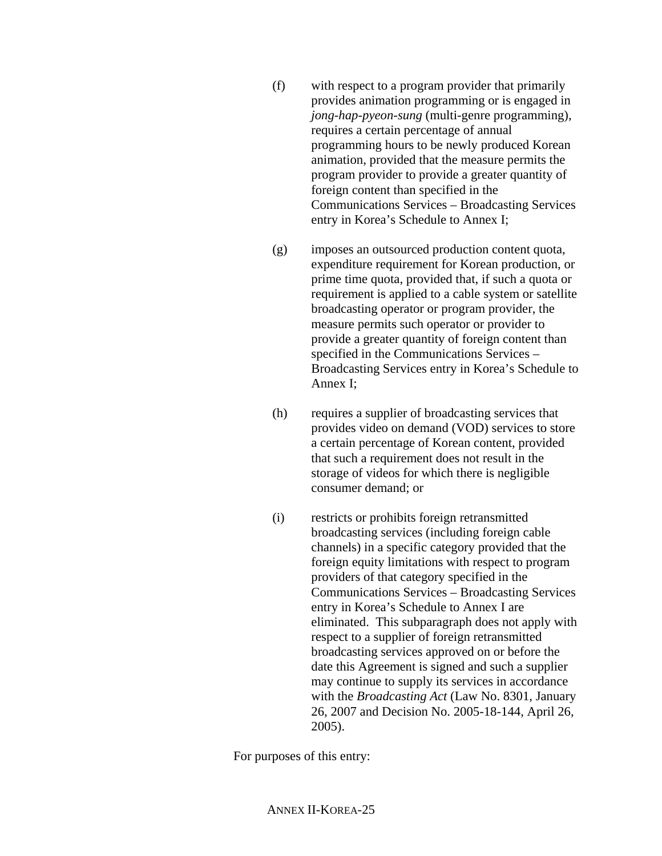- (f) with respect to a program provider that primarily provides animation programming or is engaged in *jong-hap-pyeon-sung* (multi-genre programming), requires a certain percentage of annual programming hours to be newly produced Korean animation, provided that the measure permits the program provider to provide a greater quantity of foreign content than specified in the Communications Services – Broadcasting Services entry in Korea's Schedule to Annex I;
- (g) imposes an outsourced production content quota, expenditure requirement for Korean production, or prime time quota, provided that, if such a quota or requirement is applied to a cable system or satellite broadcasting operator or program provider, the measure permits such operator or provider to provide a greater quantity of foreign content than specified in the Communications Services – Broadcasting Services entry in Korea's Schedule to Annex I;
- (h) requires a supplier of broadcasting services that provides video on demand (VOD) services to store a certain percentage of Korean content, provided that such a requirement does not result in the storage of videos for which there is negligible consumer demand; or
- (i) restricts or prohibits foreign retransmitted broadcasting services (including foreign cable channels) in a specific category provided that the foreign equity limitations with respect to program providers of that category specified in the Communications Services – Broadcasting Services entry in Korea's Schedule to Annex I are eliminated. This subparagraph does not apply with respect to a supplier of foreign retransmitted broadcasting services approved on or before the date this Agreement is signed and such a supplier may continue to supply its services in accordance with the *Broadcasting Act* (Law No. 8301, January 26, 2007 and Decision No. 2005-18-144, April 26, 2005).

For purposes of this entry: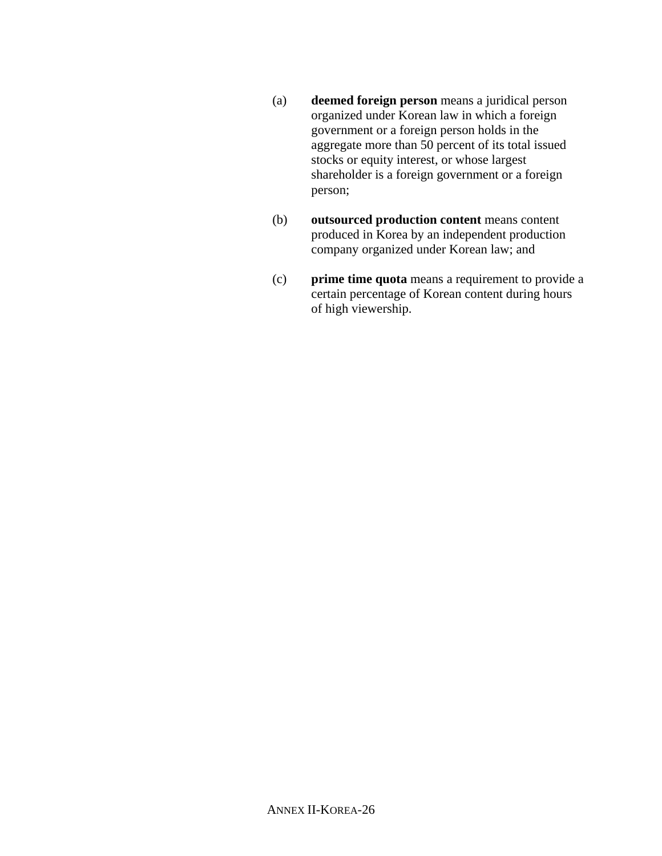- (a) **deemed foreign person** means a juridical person organized under Korean law in which a foreign government or a foreign person holds in the aggregate more than 50 percent of its total issued stocks or equity interest, or whose largest shareholder is a foreign government or a foreign person;
- (b) **outsourced production content** means content produced in Korea by an independent production company organized under Korean law; and
- (c) **prime time quota** means a requirement to provide a certain percentage of Korean content during hours of high viewership.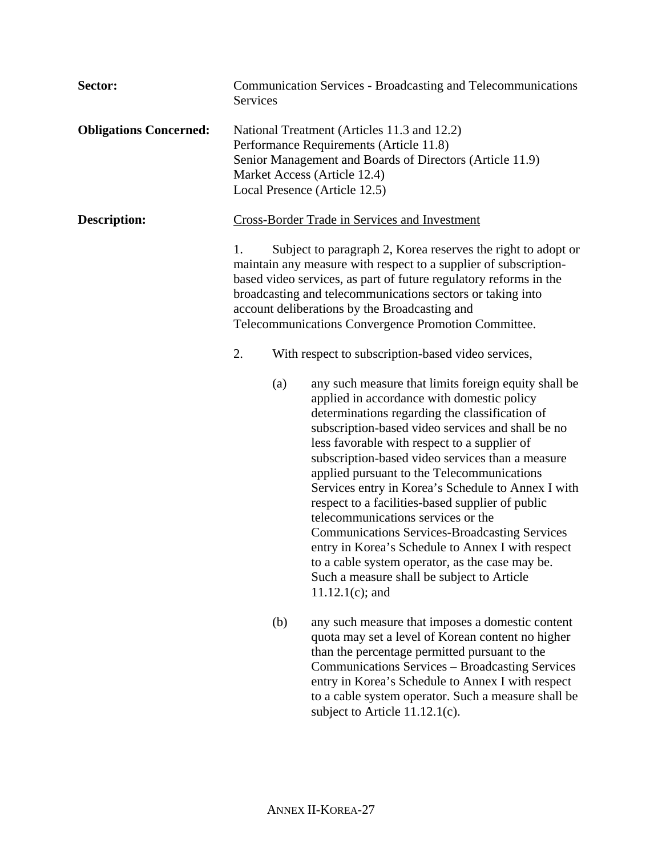| Sector:                       | <b>Communication Services - Broadcasting and Telecommunications</b><br><b>Services</b>                                                                                                                                                                                                                                                                                            |     |                                                                                                                                                                                                                                                                                                                                                                                                                                                                                                                                                                                                                                                                                                                                                 |
|-------------------------------|-----------------------------------------------------------------------------------------------------------------------------------------------------------------------------------------------------------------------------------------------------------------------------------------------------------------------------------------------------------------------------------|-----|-------------------------------------------------------------------------------------------------------------------------------------------------------------------------------------------------------------------------------------------------------------------------------------------------------------------------------------------------------------------------------------------------------------------------------------------------------------------------------------------------------------------------------------------------------------------------------------------------------------------------------------------------------------------------------------------------------------------------------------------------|
| <b>Obligations Concerned:</b> | National Treatment (Articles 11.3 and 12.2)<br>Performance Requirements (Article 11.8)<br>Senior Management and Boards of Directors (Article 11.9)<br>Market Access (Article 12.4)<br>Local Presence (Article 12.5)                                                                                                                                                               |     |                                                                                                                                                                                                                                                                                                                                                                                                                                                                                                                                                                                                                                                                                                                                                 |
| <b>Description:</b>           | <b>Cross-Border Trade in Services and Investment</b>                                                                                                                                                                                                                                                                                                                              |     |                                                                                                                                                                                                                                                                                                                                                                                                                                                                                                                                                                                                                                                                                                                                                 |
|                               | 1.<br>Subject to paragraph 2, Korea reserves the right to adopt or<br>maintain any measure with respect to a supplier of subscription-<br>based video services, as part of future regulatory reforms in the<br>broadcasting and telecommunications sectors or taking into<br>account deliberations by the Broadcasting and<br>Telecommunications Convergence Promotion Committee. |     |                                                                                                                                                                                                                                                                                                                                                                                                                                                                                                                                                                                                                                                                                                                                                 |
|                               | 2.                                                                                                                                                                                                                                                                                                                                                                                |     | With respect to subscription-based video services,                                                                                                                                                                                                                                                                                                                                                                                                                                                                                                                                                                                                                                                                                              |
|                               |                                                                                                                                                                                                                                                                                                                                                                                   | (a) | any such measure that limits foreign equity shall be<br>applied in accordance with domestic policy<br>determinations regarding the classification of<br>subscription-based video services and shall be no<br>less favorable with respect to a supplier of<br>subscription-based video services than a measure<br>applied pursuant to the Telecommunications<br>Services entry in Korea's Schedule to Annex I with<br>respect to a facilities-based supplier of public<br>telecommunications services or the<br><b>Communications Services-Broadcasting Services</b><br>entry in Korea's Schedule to Annex I with respect<br>to a cable system operator, as the case may be.<br>Such a measure shall be subject to Article<br>$11.12.1(c)$ ; and |
|                               |                                                                                                                                                                                                                                                                                                                                                                                   | (b) | any such measure that imposes a domestic content<br>quota may set a level of Korean content no higher<br>than the percentage permitted pursuant to the<br>Communications Services - Broadcasting Services<br>entry in Korea's Schedule to Annex I with respect<br>to a cable system operator. Such a measure shall be<br>subject to Article $11.12.1(c)$ .                                                                                                                                                                                                                                                                                                                                                                                      |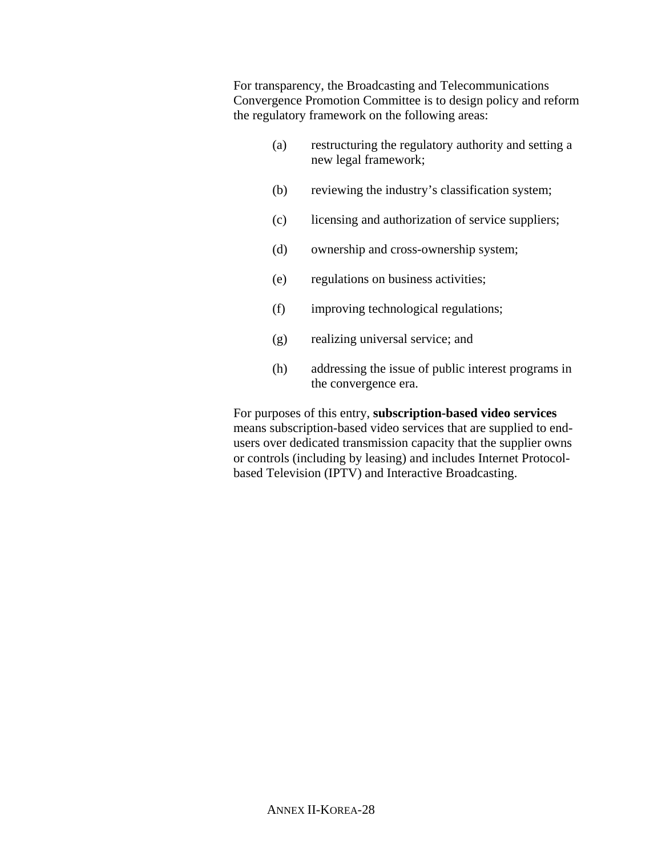For transparency, the Broadcasting and Telecommunications Convergence Promotion Committee is to design policy and reform the regulatory framework on the following areas:

- (a) restructuring the regulatory authority and setting a new legal framework;
- (b) reviewing the industry's classification system;
- (c) licensing and authorization of service suppliers;
- (d) ownership and cross-ownership system;
- (e) regulations on business activities;
- (f) improving technological regulations;
- (g) realizing universal service; and
- (h) addressing the issue of public interest programs in the convergence era.

For purposes of this entry, **subscription-based video services** means subscription-based video services that are supplied to endusers over dedicated transmission capacity that the supplier owns or controls (including by leasing) and includes Internet Protocolbased Television (IPTV) and Interactive Broadcasting.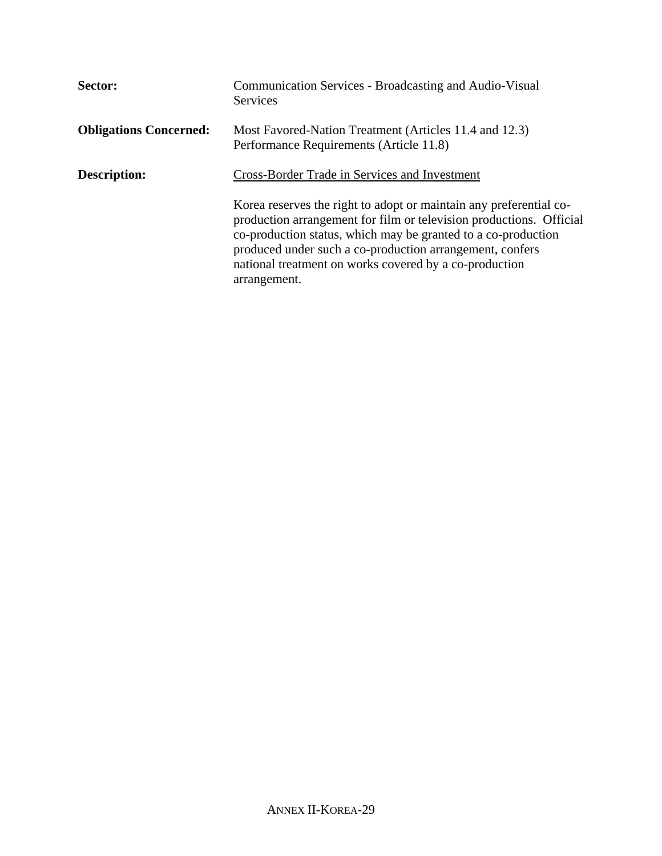| Sector:                       | Communication Services - Broadcasting and Audio-Visual<br><b>Services</b>                                                                                                                                                                                                                                                                        |
|-------------------------------|--------------------------------------------------------------------------------------------------------------------------------------------------------------------------------------------------------------------------------------------------------------------------------------------------------------------------------------------------|
| <b>Obligations Concerned:</b> | Most Favored-Nation Treatment (Articles 11.4 and 12.3)<br>Performance Requirements (Article 11.8)                                                                                                                                                                                                                                                |
| <b>Description:</b>           | Cross-Border Trade in Services and Investment                                                                                                                                                                                                                                                                                                    |
|                               | Korea reserves the right to adopt or maintain any preferential co-<br>production arrangement for film or television productions. Official<br>co-production status, which may be granted to a co-production<br>produced under such a co-production arrangement, confers<br>national treatment on works covered by a co-production<br>arrangement. |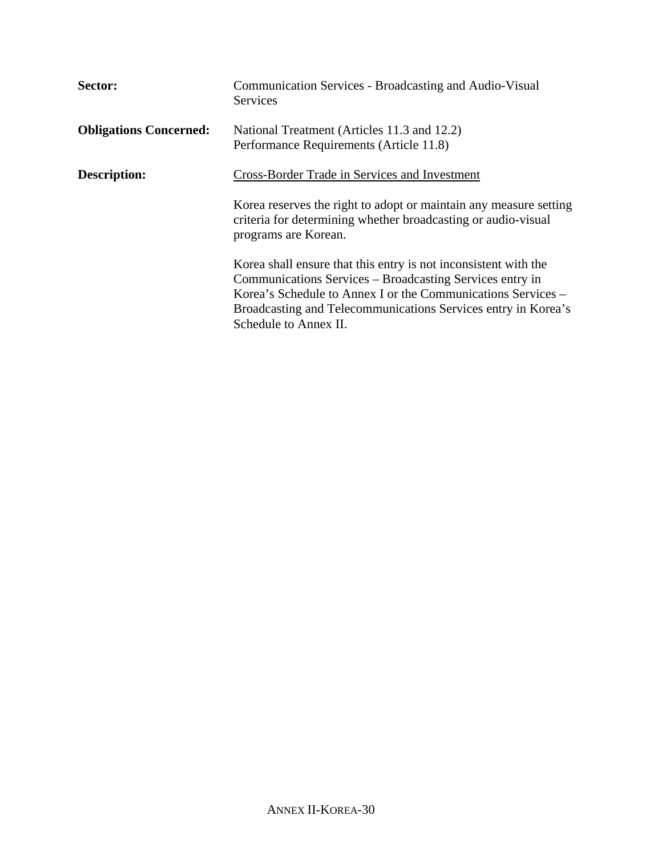| Sector:                       | Communication Services - Broadcasting and Audio-Visual<br>Services                                                                                                                                                                                                                    |
|-------------------------------|---------------------------------------------------------------------------------------------------------------------------------------------------------------------------------------------------------------------------------------------------------------------------------------|
| <b>Obligations Concerned:</b> | National Treatment (Articles 11.3 and 12.2)<br>Performance Requirements (Article 11.8)                                                                                                                                                                                                |
| <b>Description:</b>           | <b>Cross-Border Trade in Services and Investment</b>                                                                                                                                                                                                                                  |
|                               | Korea reserves the right to adopt or maintain any measure setting<br>criteria for determining whether broadcasting or audio-visual<br>programs are Korean.                                                                                                                            |
|                               | Korea shall ensure that this entry is not inconsistent with the<br>Communications Services – Broadcasting Services entry in<br>Korea's Schedule to Annex I or the Communications Services –<br>Broadcasting and Telecommunications Services entry in Korea's<br>Schedule to Annex II. |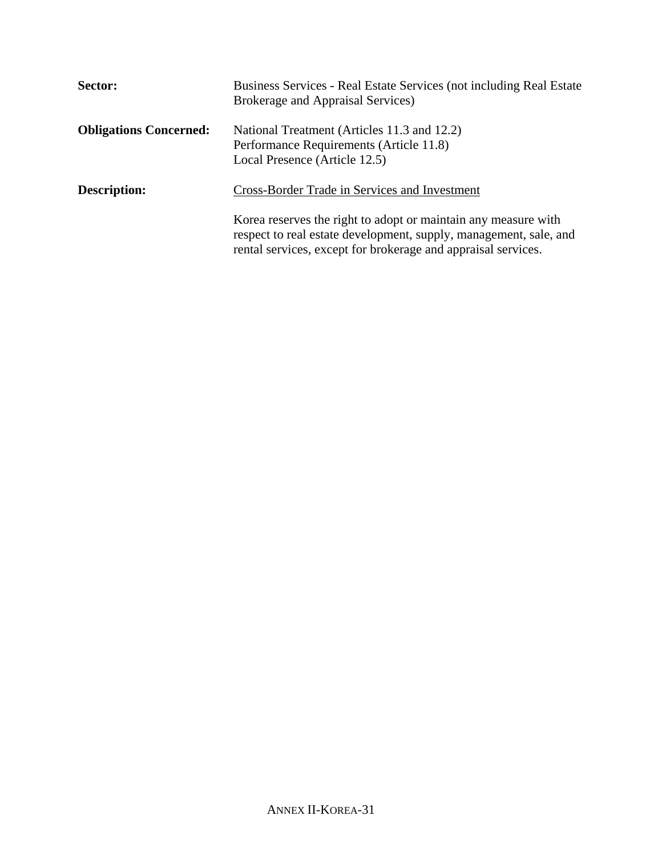| Sector:                       | Business Services - Real Estate Services (not including Real Estate)<br><b>Brokerage and Appraisal Services</b> )                                                                                    |
|-------------------------------|------------------------------------------------------------------------------------------------------------------------------------------------------------------------------------------------------|
| <b>Obligations Concerned:</b> | National Treatment (Articles 11.3 and 12.2)<br>Performance Requirements (Article 11.8)<br>Local Presence (Article 12.5)                                                                              |
| <b>Description:</b>           | Cross-Border Trade in Services and Investment                                                                                                                                                        |
|                               | Korea reserves the right to adopt or maintain any measure with<br>respect to real estate development, supply, management, sale, and<br>rental services, except for brokerage and appraisal services. |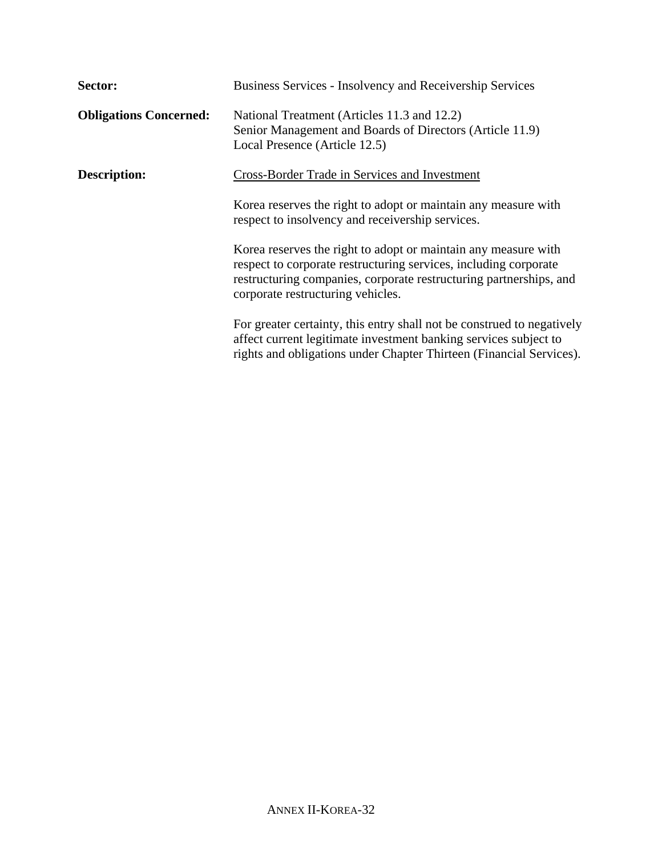| Sector:                       | Business Services - Insolvency and Receivership Services                                                                                                                                                                                      |
|-------------------------------|-----------------------------------------------------------------------------------------------------------------------------------------------------------------------------------------------------------------------------------------------|
| <b>Obligations Concerned:</b> | National Treatment (Articles 11.3 and 12.2)<br>Senior Management and Boards of Directors (Article 11.9)<br>Local Presence (Article 12.5)                                                                                                      |
| <b>Description:</b>           | Cross-Border Trade in Services and Investment                                                                                                                                                                                                 |
|                               | Korea reserves the right to adopt or maintain any measure with<br>respect to insolvency and receivership services.                                                                                                                            |
|                               | Korea reserves the right to adopt or maintain any measure with<br>respect to corporate restructuring services, including corporate<br>restructuring companies, corporate restructuring partnerships, and<br>corporate restructuring vehicles. |
|                               | For greater certainty, this entry shall not be construed to negatively<br>affect current legitimate investment banking services subject to<br>rights and obligations under Chapter Thirteen (Financial Services).                             |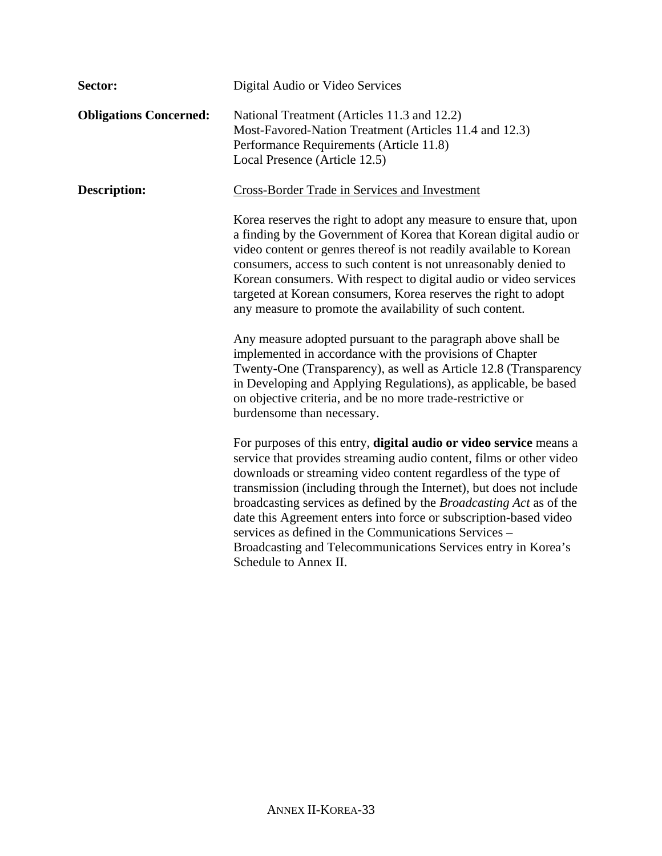| Sector:                       | Digital Audio or Video Services                                                                                                                                                                                                                                                                                                                                                                                                                                                                                                                                                        |
|-------------------------------|----------------------------------------------------------------------------------------------------------------------------------------------------------------------------------------------------------------------------------------------------------------------------------------------------------------------------------------------------------------------------------------------------------------------------------------------------------------------------------------------------------------------------------------------------------------------------------------|
| <b>Obligations Concerned:</b> | National Treatment (Articles 11.3 and 12.2)<br>Most-Favored-Nation Treatment (Articles 11.4 and 12.3)<br>Performance Requirements (Article 11.8)<br>Local Presence (Article 12.5)                                                                                                                                                                                                                                                                                                                                                                                                      |
| <b>Description:</b>           | Cross-Border Trade in Services and Investment                                                                                                                                                                                                                                                                                                                                                                                                                                                                                                                                          |
|                               | Korea reserves the right to adopt any measure to ensure that, upon<br>a finding by the Government of Korea that Korean digital audio or<br>video content or genres thereof is not readily available to Korean<br>consumers, access to such content is not unreasonably denied to<br>Korean consumers. With respect to digital audio or video services<br>targeted at Korean consumers, Korea reserves the right to adopt<br>any measure to promote the availability of such content.                                                                                                   |
|                               | Any measure adopted pursuant to the paragraph above shall be<br>implemented in accordance with the provisions of Chapter<br>Twenty-One (Transparency), as well as Article 12.8 (Transparency<br>in Developing and Applying Regulations), as applicable, be based<br>on objective criteria, and be no more trade-restrictive or<br>burdensome than necessary.                                                                                                                                                                                                                           |
|                               | For purposes of this entry, digital audio or video service means a<br>service that provides streaming audio content, films or other video<br>downloads or streaming video content regardless of the type of<br>transmission (including through the Internet), but does not include<br>broadcasting services as defined by the <i>Broadcasting Act</i> as of the<br>date this Agreement enters into force or subscription-based video<br>services as defined in the Communications Services –<br>Broadcasting and Telecommunications Services entry in Korea's<br>Schedule to Annex II. |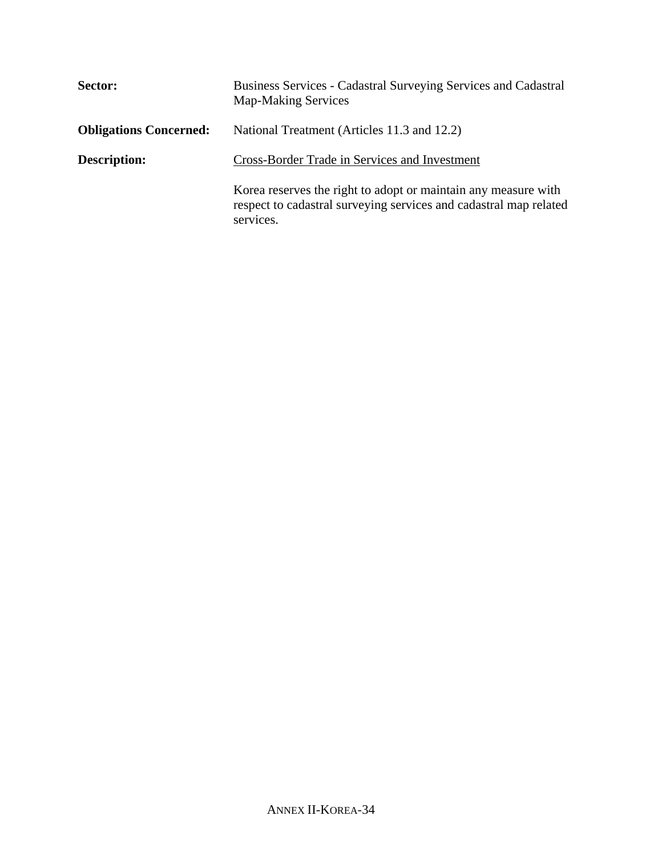| Sector:                       | Business Services - Cadastral Surveying Services and Cadastral<br><b>Map-Making Services</b>                                                     |
|-------------------------------|--------------------------------------------------------------------------------------------------------------------------------------------------|
| <b>Obligations Concerned:</b> | National Treatment (Articles 11.3 and 12.2)                                                                                                      |
| <b>Description:</b>           | Cross-Border Trade in Services and Investment                                                                                                    |
|                               | Korea reserves the right to adopt or maintain any measure with<br>respect to cadastral surveying services and cadastral map related<br>services. |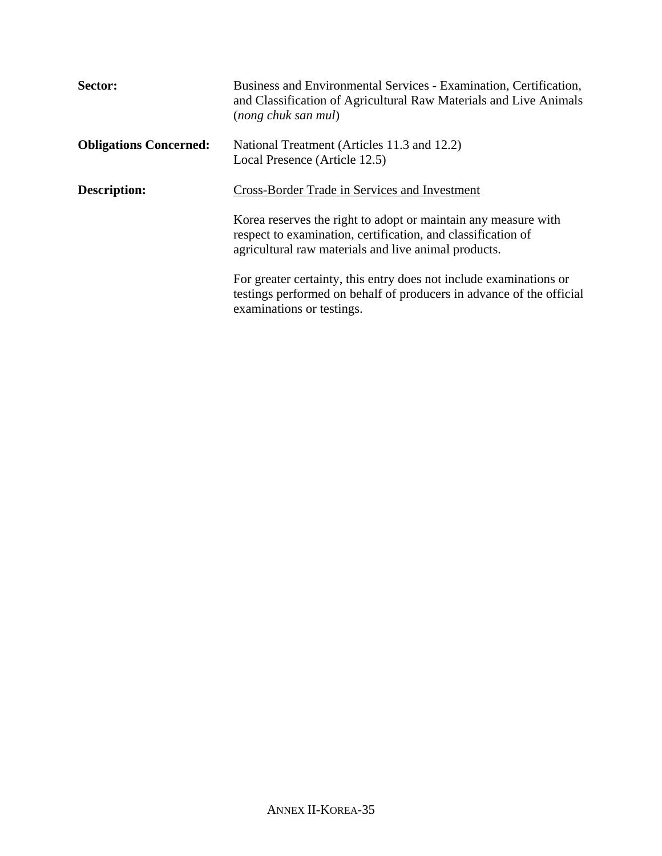| Sector:                       | Business and Environmental Services - Examination, Certification,<br>and Classification of Agricultural Raw Materials and Live Animals<br>(nong chuk san mul)                          |
|-------------------------------|----------------------------------------------------------------------------------------------------------------------------------------------------------------------------------------|
| <b>Obligations Concerned:</b> | National Treatment (Articles 11.3 and 12.2)<br>Local Presence (Article 12.5)                                                                                                           |
| <b>Description:</b>           | <b>Cross-Border Trade in Services and Investment</b>                                                                                                                                   |
|                               | Korea reserves the right to adopt or maintain any measure with<br>respect to examination, certification, and classification of<br>agricultural raw materials and live animal products. |
|                               | For greater certainty, this entry does not include examinations or<br>testings performed on behalf of producers in advance of the official<br>examinations or testings.                |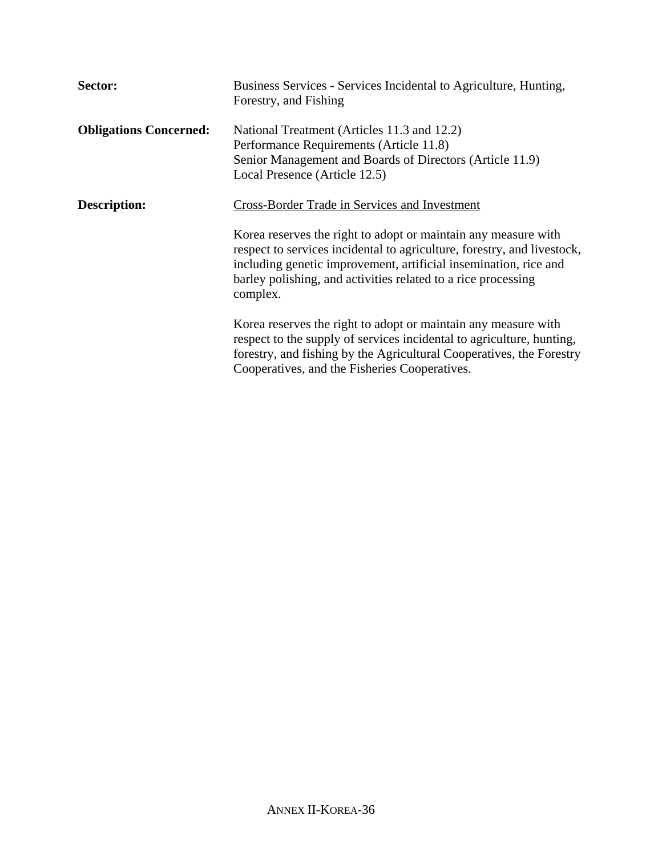| Sector:                       | Business Services - Services Incidental to Agriculture, Hunting,<br>Forestry, and Fishing                                                                                                                                                                                                                                       |
|-------------------------------|---------------------------------------------------------------------------------------------------------------------------------------------------------------------------------------------------------------------------------------------------------------------------------------------------------------------------------|
| <b>Obligations Concerned:</b> | National Treatment (Articles 11.3 and 12.2)<br>Performance Requirements (Article 11.8)<br>Senior Management and Boards of Directors (Article 11.9)<br>Local Presence (Article 12.5)                                                                                                                                             |
| <b>Description:</b>           | Cross-Border Trade in Services and Investment<br>Korea reserves the right to adopt or maintain any measure with<br>respect to services incidental to agriculture, forestry, and livestock,<br>including genetic improvement, artificial insemination, rice and<br>barley polishing, and activities related to a rice processing |
|                               | complex.<br>Korea reserves the right to adopt or maintain any measure with<br>respect to the supply of services incidental to agriculture, hunting,<br>forestry, and fishing by the Agricultural Cooperatives, the Forestry<br>Cooperatives, and the Fisheries Cooperatives.                                                    |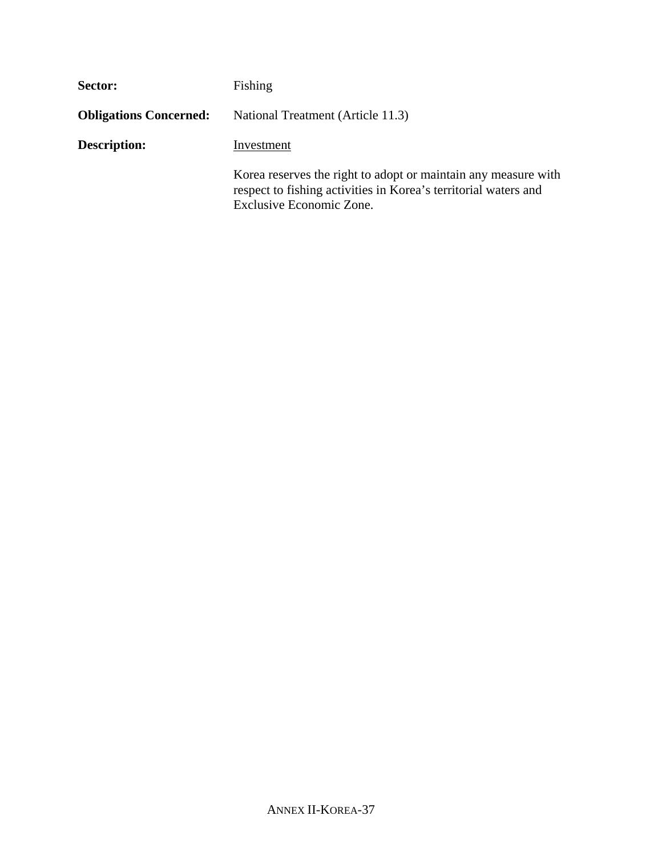| Sector:                       | Fishing                                                                                                                                                       |
|-------------------------------|---------------------------------------------------------------------------------------------------------------------------------------------------------------|
| <b>Obligations Concerned:</b> | National Treatment (Article 11.3)                                                                                                                             |
| <b>Description:</b>           | Investment                                                                                                                                                    |
|                               | Korea reserves the right to adopt or maintain any measure with<br>respect to fishing activities in Korea's territorial waters and<br>Exclusive Economic Zone. |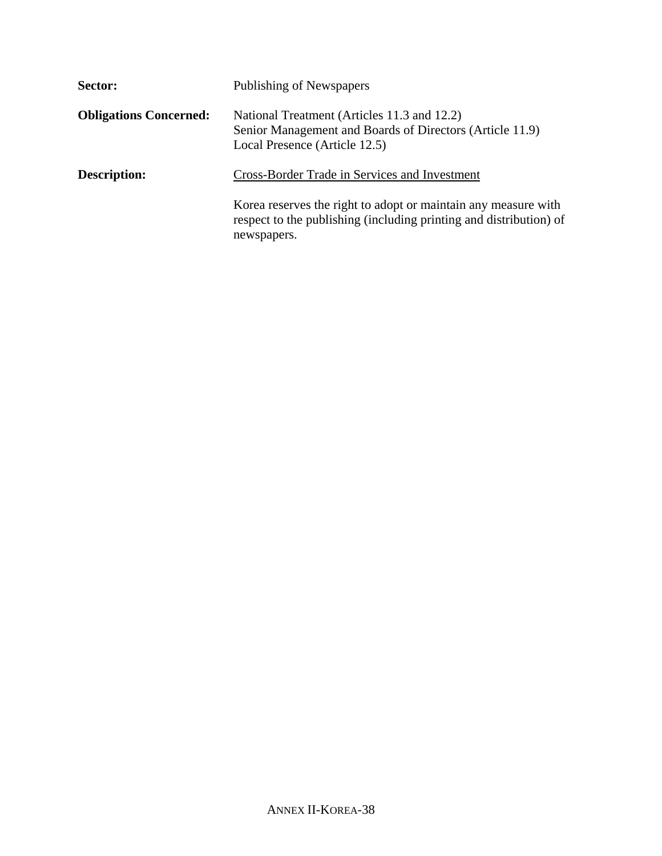| Sector:                       | Publishing of Newspapers                                                                                                                            |
|-------------------------------|-----------------------------------------------------------------------------------------------------------------------------------------------------|
| <b>Obligations Concerned:</b> | National Treatment (Articles 11.3 and 12.2)<br>Senior Management and Boards of Directors (Article 11.9)<br>Local Presence (Article 12.5)            |
| <b>Description:</b>           | Cross-Border Trade in Services and Investment                                                                                                       |
|                               | Korea reserves the right to adopt or maintain any measure with<br>respect to the publishing (including printing and distribution) of<br>newspapers. |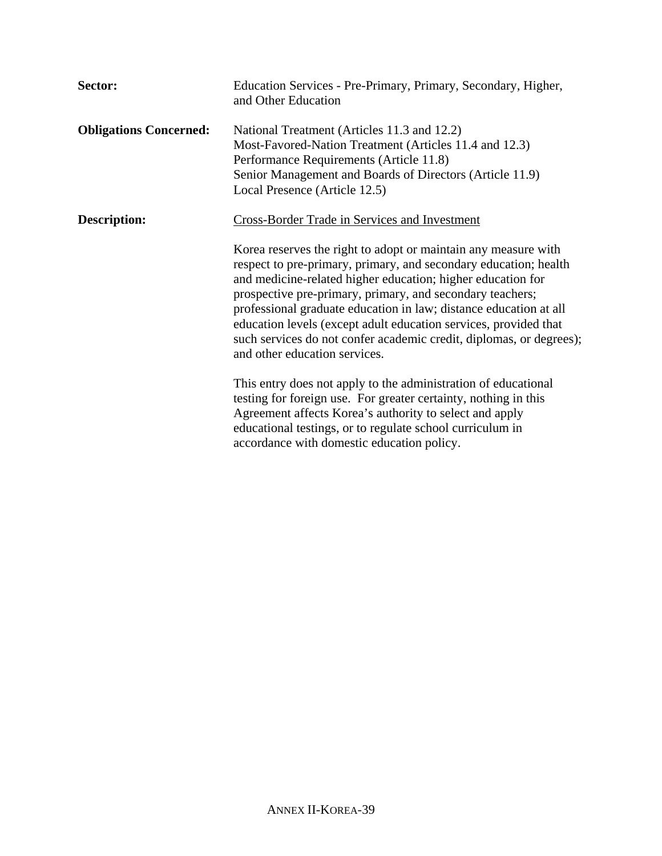| Sector:                       | Education Services - Pre-Primary, Primary, Secondary, Higher,<br>and Other Education                                                                                                                                                                                                                                                                                                                                                                                                                            |
|-------------------------------|-----------------------------------------------------------------------------------------------------------------------------------------------------------------------------------------------------------------------------------------------------------------------------------------------------------------------------------------------------------------------------------------------------------------------------------------------------------------------------------------------------------------|
| <b>Obligations Concerned:</b> | National Treatment (Articles 11.3 and 12.2)<br>Most-Favored-Nation Treatment (Articles 11.4 and 12.3)<br>Performance Requirements (Article 11.8)<br>Senior Management and Boards of Directors (Article 11.9)<br>Local Presence (Article 12.5)                                                                                                                                                                                                                                                                   |
| <b>Description:</b>           | Cross-Border Trade in Services and Investment                                                                                                                                                                                                                                                                                                                                                                                                                                                                   |
|                               | Korea reserves the right to adopt or maintain any measure with<br>respect to pre-primary, primary, and secondary education; health<br>and medicine-related higher education; higher education for<br>prospective pre-primary, primary, and secondary teachers;<br>professional graduate education in law; distance education at all<br>education levels (except adult education services, provided that<br>such services do not confer academic credit, diplomas, or degrees);<br>and other education services. |
|                               | This entry does not apply to the administration of educational<br>testing for foreign use. For greater certainty, nothing in this<br>Agreement affects Korea's authority to select and apply<br>educational testings, or to regulate school curriculum in<br>accordance with domestic education policy.                                                                                                                                                                                                         |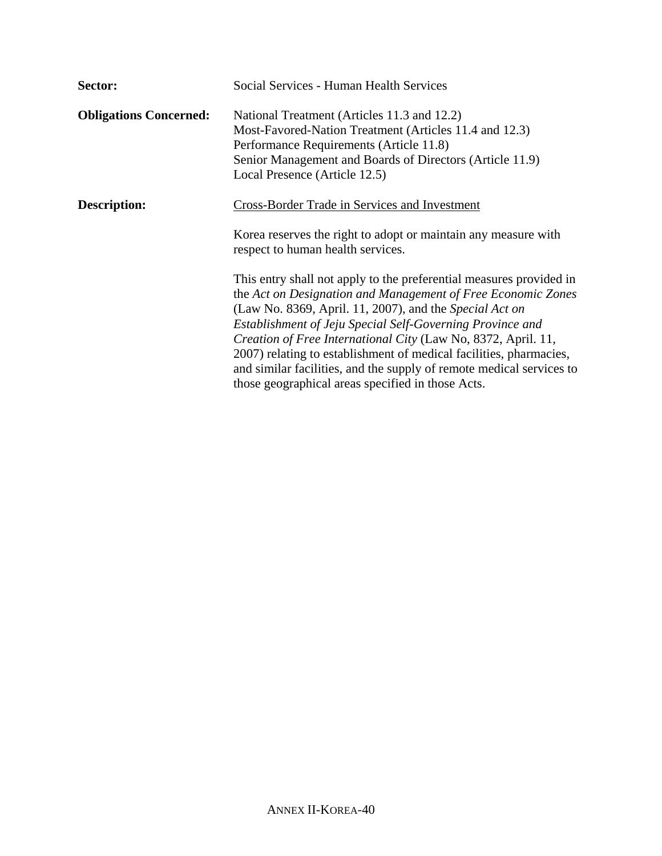| Sector:                       | Social Services - Human Health Services                                                                                                                                                                                                                                                                                                                                                                                                                                                                                         |
|-------------------------------|---------------------------------------------------------------------------------------------------------------------------------------------------------------------------------------------------------------------------------------------------------------------------------------------------------------------------------------------------------------------------------------------------------------------------------------------------------------------------------------------------------------------------------|
| <b>Obligations Concerned:</b> | National Treatment (Articles 11.3 and 12.2)<br>Most-Favored-Nation Treatment (Articles 11.4 and 12.3)<br>Performance Requirements (Article 11.8)<br>Senior Management and Boards of Directors (Article 11.9)<br>Local Presence (Article 12.5)                                                                                                                                                                                                                                                                                   |
| Description:                  | Cross-Border Trade in Services and Investment<br>Korea reserves the right to adopt or maintain any measure with<br>respect to human health services.                                                                                                                                                                                                                                                                                                                                                                            |
|                               | This entry shall not apply to the preferential measures provided in<br>the Act on Designation and Management of Free Economic Zones<br>(Law No. 8369, April. 11, 2007), and the Special Act on<br>Establishment of Jeju Special Self-Governing Province and<br>Creation of Free International City (Law No, 8372, April. 11,<br>2007) relating to establishment of medical facilities, pharmacies,<br>and similar facilities, and the supply of remote medical services to<br>those geographical areas specified in those Acts. |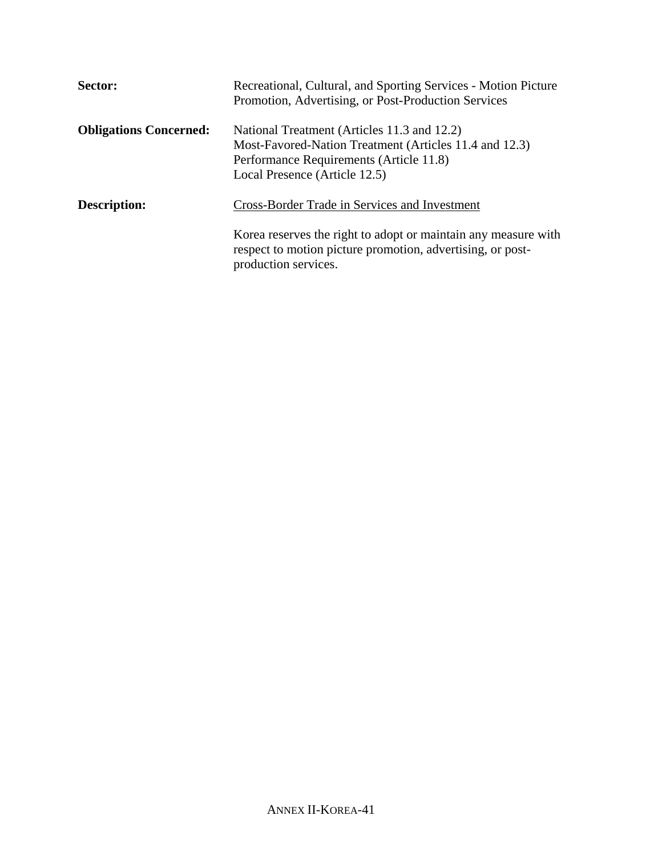| Sector:                       | Recreational, Cultural, and Sporting Services - Motion Picture<br>Promotion, Advertising, or Post-Production Services                                                             |
|-------------------------------|-----------------------------------------------------------------------------------------------------------------------------------------------------------------------------------|
| <b>Obligations Concerned:</b> | National Treatment (Articles 11.3 and 12.2)<br>Most-Favored-Nation Treatment (Articles 11.4 and 12.3)<br>Performance Requirements (Article 11.8)<br>Local Presence (Article 12.5) |
| <b>Description:</b>           | Cross-Border Trade in Services and Investment                                                                                                                                     |
|                               | Korea reserves the right to adopt or maintain any measure with<br>respect to motion picture promotion, advertising, or post-<br>production services.                              |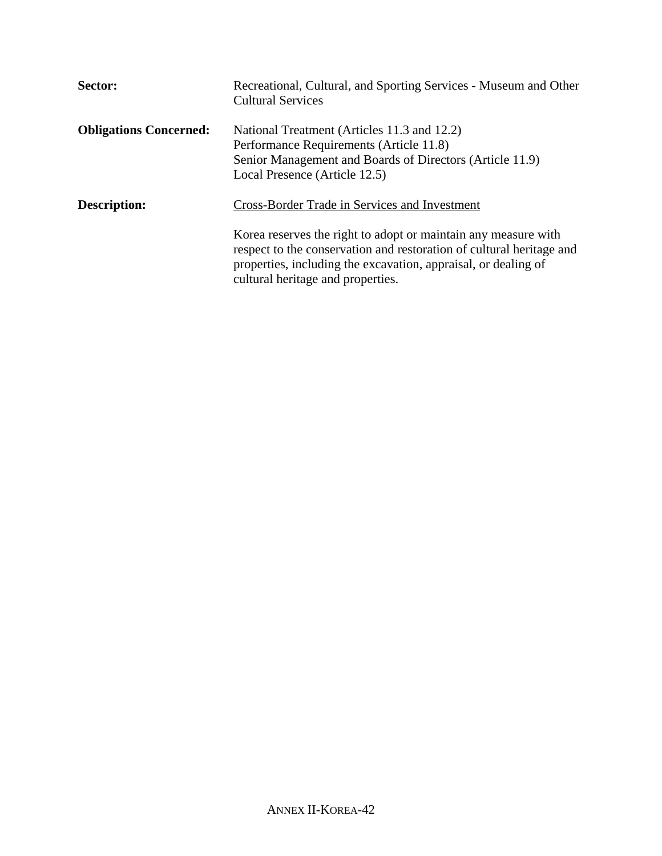| Sector:                       | Recreational, Cultural, and Sporting Services - Museum and Other<br><b>Cultural Services</b>                                                                                                                                                  |
|-------------------------------|-----------------------------------------------------------------------------------------------------------------------------------------------------------------------------------------------------------------------------------------------|
| <b>Obligations Concerned:</b> | National Treatment (Articles 11.3 and 12.2)<br>Performance Requirements (Article 11.8)<br>Senior Management and Boards of Directors (Article 11.9)<br>Local Presence (Article 12.5)                                                           |
| <b>Description:</b>           | Cross-Border Trade in Services and Investment                                                                                                                                                                                                 |
|                               | Korea reserves the right to adopt or maintain any measure with<br>respect to the conservation and restoration of cultural heritage and<br>properties, including the excavation, appraisal, or dealing of<br>cultural heritage and properties. |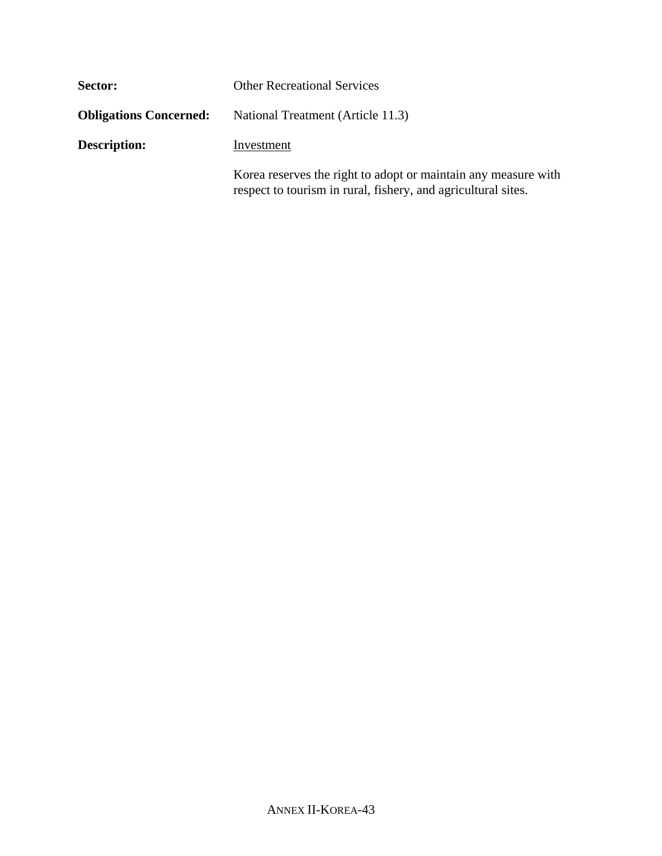| Sector:                       | <b>Other Recreational Services</b>                             |  |
|-------------------------------|----------------------------------------------------------------|--|
| <b>Obligations Concerned:</b> | National Treatment (Article 11.3)                              |  |
| <b>Description:</b>           | Investment                                                     |  |
|                               | Korea reserves the right to adopt or maintain any measure with |  |

respect to tourism in rural, fishery, and agricultural sites.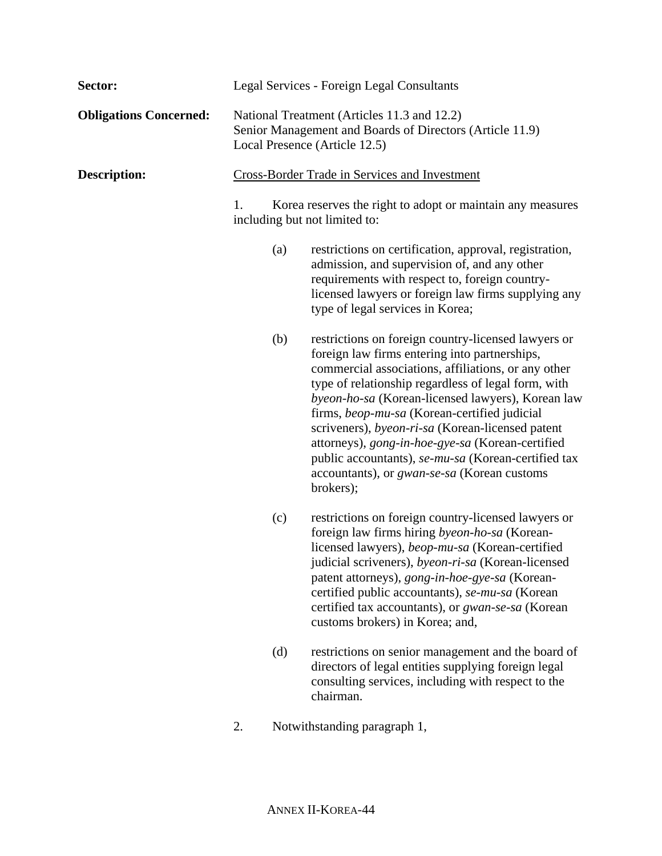| Sector:                       |                                                                                                                                          |     | Legal Services - Foreign Legal Consultants                                                                                                                                                                                                                                                                                                                                                                                                                                                                                                                |
|-------------------------------|------------------------------------------------------------------------------------------------------------------------------------------|-----|-----------------------------------------------------------------------------------------------------------------------------------------------------------------------------------------------------------------------------------------------------------------------------------------------------------------------------------------------------------------------------------------------------------------------------------------------------------------------------------------------------------------------------------------------------------|
| <b>Obligations Concerned:</b> | National Treatment (Articles 11.3 and 12.2)<br>Senior Management and Boards of Directors (Article 11.9)<br>Local Presence (Article 12.5) |     |                                                                                                                                                                                                                                                                                                                                                                                                                                                                                                                                                           |
| <b>Description:</b>           |                                                                                                                                          |     | <b>Cross-Border Trade in Services and Investment</b>                                                                                                                                                                                                                                                                                                                                                                                                                                                                                                      |
|                               | 1.                                                                                                                                       |     | Korea reserves the right to adopt or maintain any measures<br>including but not limited to:                                                                                                                                                                                                                                                                                                                                                                                                                                                               |
|                               |                                                                                                                                          | (a) | restrictions on certification, approval, registration,<br>admission, and supervision of, and any other<br>requirements with respect to, foreign country-<br>licensed lawyers or foreign law firms supplying any<br>type of legal services in Korea;                                                                                                                                                                                                                                                                                                       |
|                               |                                                                                                                                          | (b) | restrictions on foreign country-licensed lawyers or<br>foreign law firms entering into partnerships,<br>commercial associations, affiliations, or any other<br>type of relationship regardless of legal form, with<br>byeon-ho-sa (Korean-licensed lawyers), Korean law<br>firms, beop-mu-sa (Korean-certified judicial<br>scriveners), byeon-ri-sa (Korean-licensed patent<br>attorneys), gong-in-hoe-gye-sa (Korean-certified<br>public accountants), se-mu-sa (Korean-certified tax<br>accountants), or <i>gwan-se-sa</i> (Korean customs<br>brokers); |
|                               |                                                                                                                                          | (c) | restrictions on foreign country-licensed lawyers or<br>foreign law firms hiring byeon-ho-sa (Korean-<br>licensed lawyers), beop-mu-sa (Korean-certified<br>judicial scriveners), byeon-ri-sa (Korean-licensed<br>patent attorneys), gong-in-hoe-gye-sa (Korean-<br>certified public accountants), se-mu-sa (Korean<br>certified tax accountants), or <i>gwan-se-sa</i> (Korean<br>customs brokers) in Korea; and,                                                                                                                                         |
|                               |                                                                                                                                          | (d) | restrictions on senior management and the board of<br>directors of legal entities supplying foreign legal<br>consulting services, including with respect to the<br>chairman.                                                                                                                                                                                                                                                                                                                                                                              |
|                               |                                                                                                                                          |     |                                                                                                                                                                                                                                                                                                                                                                                                                                                                                                                                                           |

2. Notwithstanding paragraph 1,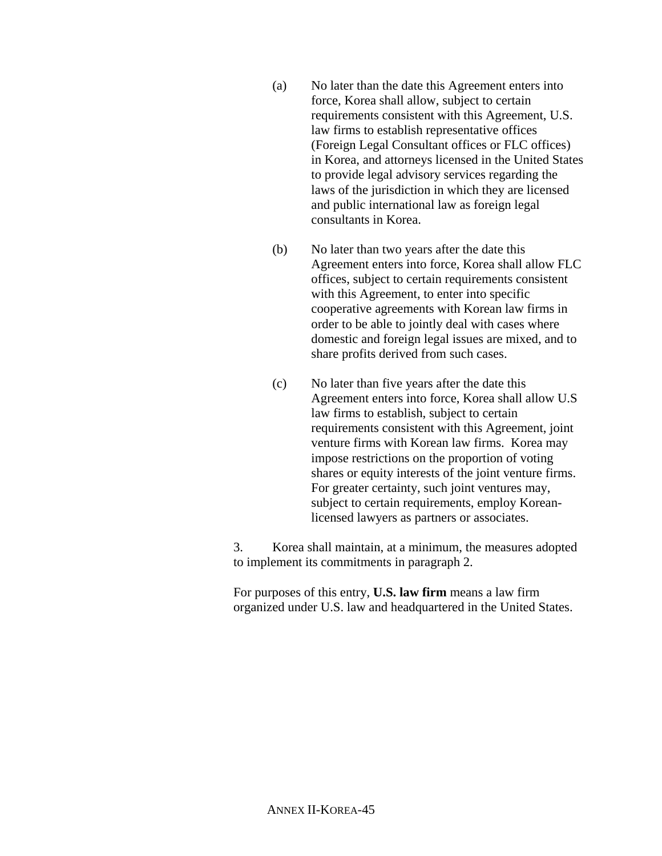- (a) No later than the date this Agreement enters into force, Korea shall allow, subject to certain requirements consistent with this Agreement, U.S. law firms to establish representative offices (Foreign Legal Consultant offices or FLC offices) in Korea, and attorneys licensed in the United States to provide legal advisory services regarding the laws of the jurisdiction in which they are licensed and public international law as foreign legal consultants in Korea.
- (b) No later than two years after the date this Agreement enters into force, Korea shall allow FLC offices, subject to certain requirements consistent with this Agreement, to enter into specific cooperative agreements with Korean law firms in order to be able to jointly deal with cases where domestic and foreign legal issues are mixed, and to share profits derived from such cases.
- (c) No later than five years after the date this Agreement enters into force, Korea shall allow U.S law firms to establish, subject to certain requirements consistent with this Agreement, joint venture firms with Korean law firms. Korea may impose restrictions on the proportion of voting shares or equity interests of the joint venture firms. For greater certainty, such joint ventures may, subject to certain requirements, employ Koreanlicensed lawyers as partners or associates.

3. Korea shall maintain, at a minimum, the measures adopted to implement its commitments in paragraph 2.

For purposes of this entry, **U.S. law firm** means a law firm organized under U.S. law and headquartered in the United States.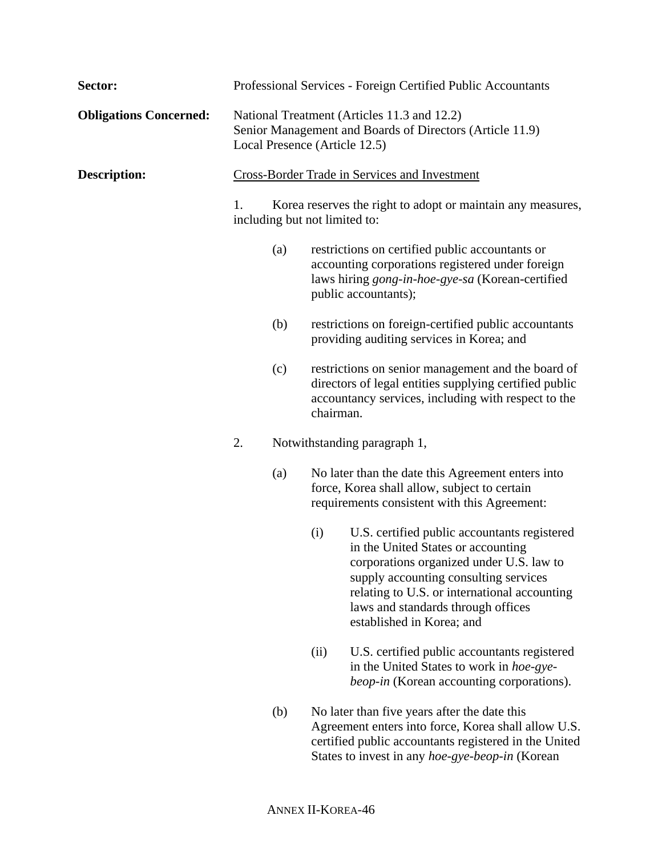| Sector:                       |                                                                                                                                          |     |           | Professional Services - Foreign Certified Public Accountants                                                                                                                                                                                                                               |
|-------------------------------|------------------------------------------------------------------------------------------------------------------------------------------|-----|-----------|--------------------------------------------------------------------------------------------------------------------------------------------------------------------------------------------------------------------------------------------------------------------------------------------|
| <b>Obligations Concerned:</b> | National Treatment (Articles 11.3 and 12.2)<br>Senior Management and Boards of Directors (Article 11.9)<br>Local Presence (Article 12.5) |     |           |                                                                                                                                                                                                                                                                                            |
| <b>Description:</b>           |                                                                                                                                          |     |           | <b>Cross-Border Trade in Services and Investment</b>                                                                                                                                                                                                                                       |
|                               | 1.<br>Korea reserves the right to adopt or maintain any measures,<br>including but not limited to:                                       |     |           |                                                                                                                                                                                                                                                                                            |
|                               |                                                                                                                                          | (a) |           | restrictions on certified public accountants or<br>accounting corporations registered under foreign<br>laws hiring gong-in-hoe-gye-sa (Korean-certified<br>public accountants);                                                                                                            |
|                               |                                                                                                                                          | (b) |           | restrictions on foreign-certified public accountants<br>providing auditing services in Korea; and                                                                                                                                                                                          |
|                               |                                                                                                                                          | (c) | chairman. | restrictions on senior management and the board of<br>directors of legal entities supplying certified public<br>accountancy services, including with respect to the                                                                                                                        |
|                               | 2.                                                                                                                                       |     |           | Notwithstanding paragraph 1,                                                                                                                                                                                                                                                               |
|                               |                                                                                                                                          | (a) |           | No later than the date this Agreement enters into<br>force, Korea shall allow, subject to certain<br>requirements consistent with this Agreement:                                                                                                                                          |
|                               |                                                                                                                                          |     | (i)       | U.S. certified public accountants registered<br>in the United States or accounting<br>corporations organized under U.S. law to<br>supply accounting consulting services<br>relating to U.S. or international accounting<br>laws and standards through offices<br>established in Korea; and |
|                               |                                                                                                                                          |     | (ii)      | U.S. certified public accountants registered<br>in the United States to work in hoe-gye-<br><i>beop-in</i> (Korean accounting corporations).                                                                                                                                               |
|                               |                                                                                                                                          | (b) |           | No later than five years after the date this<br>Agreement enters into force, Korea shall allow U.S.<br>certified public accountants registered in the United<br>States to invest in any hoe-gye-beop-in (Korean                                                                            |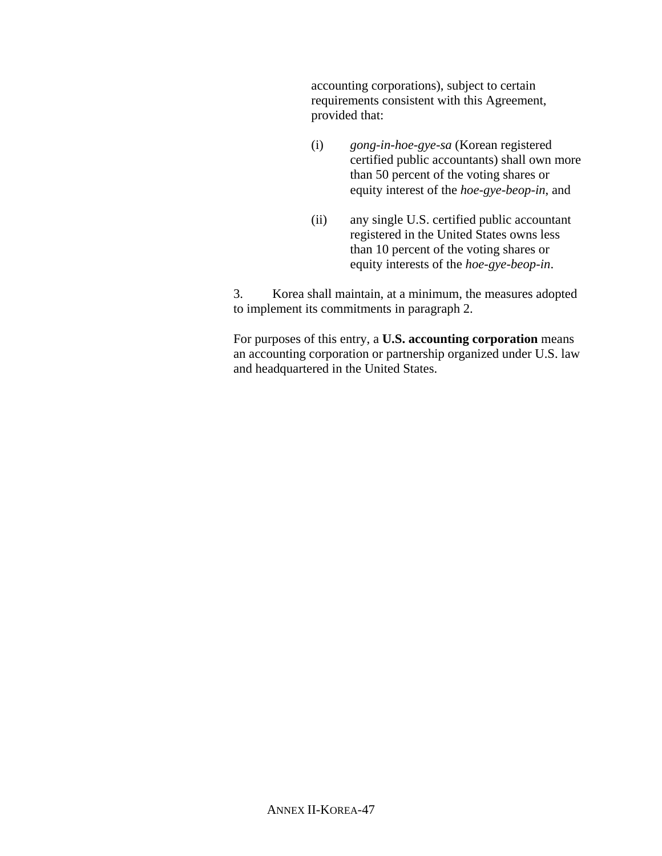accounting corporations), subject to certain requirements consistent with this Agreement, provided that:

- (i) *gong-in-hoe-gye-sa* (Korean registered certified public accountants) shall own more than 50 percent of the voting shares or equity interest of the *hoe-gye-beop-in*, and
- (ii) any single U.S. certified public accountant registered in the United States owns less than 10 percent of the voting shares or equity interests of the *hoe-gye-beop-in*.

3. Korea shall maintain, at a minimum, the measures adopted to implement its commitments in paragraph 2.

For purposes of this entry, a **U.S. accounting corporation** means an accounting corporation or partnership organized under U.S. law and headquartered in the United States.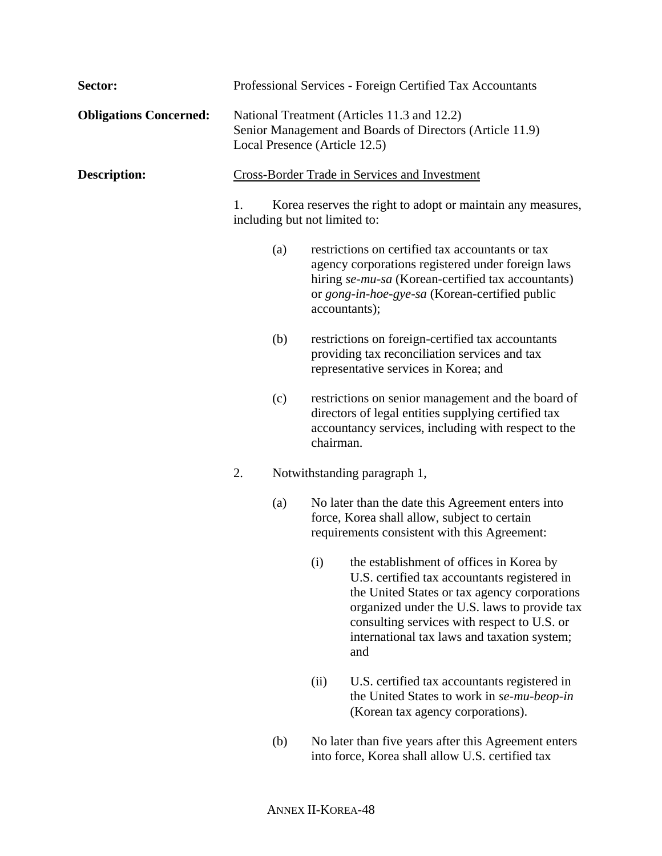| Sector:                       |                                                                                                                                          |     |                               | Professional Services - Foreign Certified Tax Accountants                                                                                                                                                                                                                                         |
|-------------------------------|------------------------------------------------------------------------------------------------------------------------------------------|-----|-------------------------------|---------------------------------------------------------------------------------------------------------------------------------------------------------------------------------------------------------------------------------------------------------------------------------------------------|
| <b>Obligations Concerned:</b> | National Treatment (Articles 11.3 and 12.2)<br>Senior Management and Boards of Directors (Article 11.9)<br>Local Presence (Article 12.5) |     |                               |                                                                                                                                                                                                                                                                                                   |
| <b>Description:</b>           |                                                                                                                                          |     |                               | <b>Cross-Border Trade in Services and Investment</b>                                                                                                                                                                                                                                              |
|                               | 1.                                                                                                                                       |     | including but not limited to: | Korea reserves the right to adopt or maintain any measures,                                                                                                                                                                                                                                       |
|                               |                                                                                                                                          | (a) | accountants);                 | restrictions on certified tax accountants or tax<br>agency corporations registered under foreign laws<br>hiring se-mu-sa (Korean-certified tax accountants)<br>or gong-in-hoe-gye-sa (Korean-certified public                                                                                     |
|                               |                                                                                                                                          | (b) |                               | restrictions on foreign-certified tax accountants<br>providing tax reconciliation services and tax<br>representative services in Korea; and                                                                                                                                                       |
|                               |                                                                                                                                          | (c) | chairman.                     | restrictions on senior management and the board of<br>directors of legal entities supplying certified tax<br>accountancy services, including with respect to the                                                                                                                                  |
|                               | 2.                                                                                                                                       |     |                               | Notwithstanding paragraph 1,                                                                                                                                                                                                                                                                      |
|                               |                                                                                                                                          | (a) |                               | No later than the date this Agreement enters into<br>force, Korea shall allow, subject to certain<br>requirements consistent with this Agreement:                                                                                                                                                 |
|                               |                                                                                                                                          |     |                               | (i) the establishment of offices in Korea by<br>U.S. certified tax accountants registered in<br>the United States or tax agency corporations<br>organized under the U.S. laws to provide tax<br>consulting services with respect to U.S. or<br>international tax laws and taxation system;<br>and |
|                               |                                                                                                                                          |     | (ii)                          | U.S. certified tax accountants registered in<br>the United States to work in se-mu-beop-in<br>(Korean tax agency corporations).                                                                                                                                                                   |
|                               |                                                                                                                                          | (b) |                               | No later than five years after this Agreement enters<br>into force, Korea shall allow U.S. certified tax                                                                                                                                                                                          |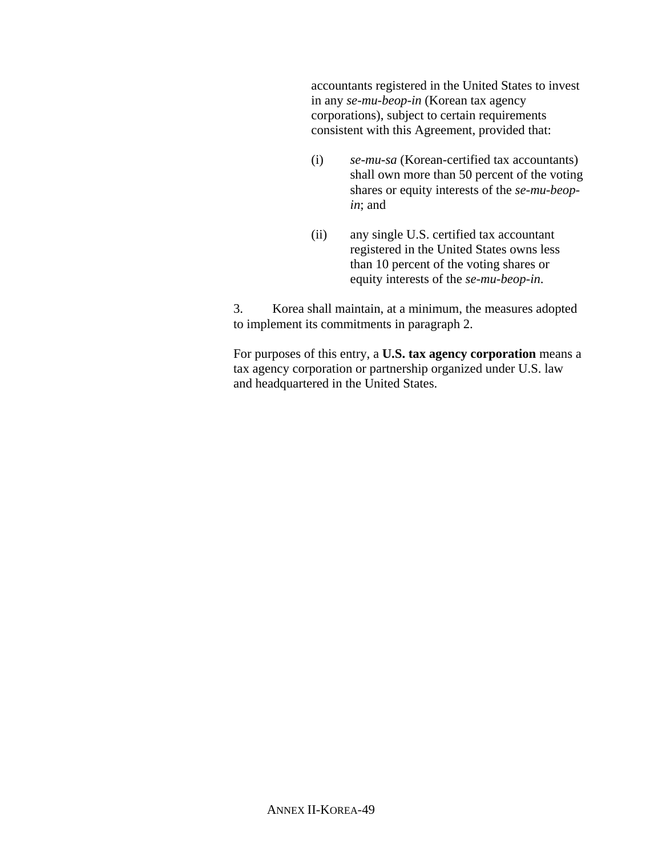accountants registered in the United States to invest in any *se-mu-beop-in* (Korean tax agency corporations), subject to certain requirements consistent with this Agreement, provided that:

- (i) *se-mu-sa* (Korean-certified tax accountants) shall own more than 50 percent of the voting shares or equity interests of the *se-mu-beopin*; and
- (ii) any single U.S. certified tax accountant registered in the United States owns less than 10 percent of the voting shares or equity interests of the *se-mu-beop-in*.

3. Korea shall maintain, at a minimum, the measures adopted to implement its commitments in paragraph 2.

For purposes of this entry, a **U.S. tax agency corporation** means a tax agency corporation or partnership organized under U.S. law and headquartered in the United States.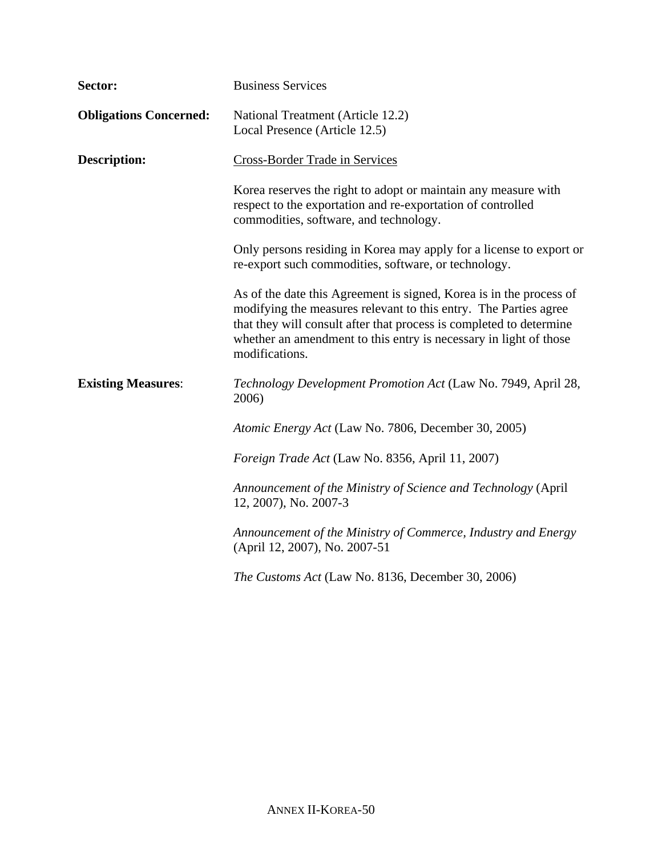| Sector:                       | <b>Business Services</b>                                                                                                                                                                                                                                                                              |  |  |  |
|-------------------------------|-------------------------------------------------------------------------------------------------------------------------------------------------------------------------------------------------------------------------------------------------------------------------------------------------------|--|--|--|
| <b>Obligations Concerned:</b> | National Treatment (Article 12.2)<br>Local Presence (Article 12.5)                                                                                                                                                                                                                                    |  |  |  |
| <b>Description:</b>           | Cross-Border Trade in Services                                                                                                                                                                                                                                                                        |  |  |  |
|                               | Korea reserves the right to adopt or maintain any measure with<br>respect to the exportation and re-exportation of controlled<br>commodities, software, and technology.                                                                                                                               |  |  |  |
|                               | Only persons residing in Korea may apply for a license to export or<br>re-export such commodities, software, or technology.                                                                                                                                                                           |  |  |  |
|                               | As of the date this Agreement is signed, Korea is in the process of<br>modifying the measures relevant to this entry. The Parties agree<br>that they will consult after that process is completed to determine<br>whether an amendment to this entry is necessary in light of those<br>modifications. |  |  |  |
| <b>Existing Measures:</b>     | Technology Development Promotion Act (Law No. 7949, April 28,<br>2006)                                                                                                                                                                                                                                |  |  |  |
|                               | Atomic Energy Act (Law No. 7806, December 30, 2005)                                                                                                                                                                                                                                                   |  |  |  |
|                               | Foreign Trade Act (Law No. 8356, April 11, 2007)                                                                                                                                                                                                                                                      |  |  |  |
|                               | Announcement of the Ministry of Science and Technology (April<br>12, 2007), No. 2007-3                                                                                                                                                                                                                |  |  |  |
|                               | Announcement of the Ministry of Commerce, Industry and Energy<br>(April 12, 2007), No. 2007-51                                                                                                                                                                                                        |  |  |  |
|                               | The Customs Act (Law No. 8136, December 30, 2006)                                                                                                                                                                                                                                                     |  |  |  |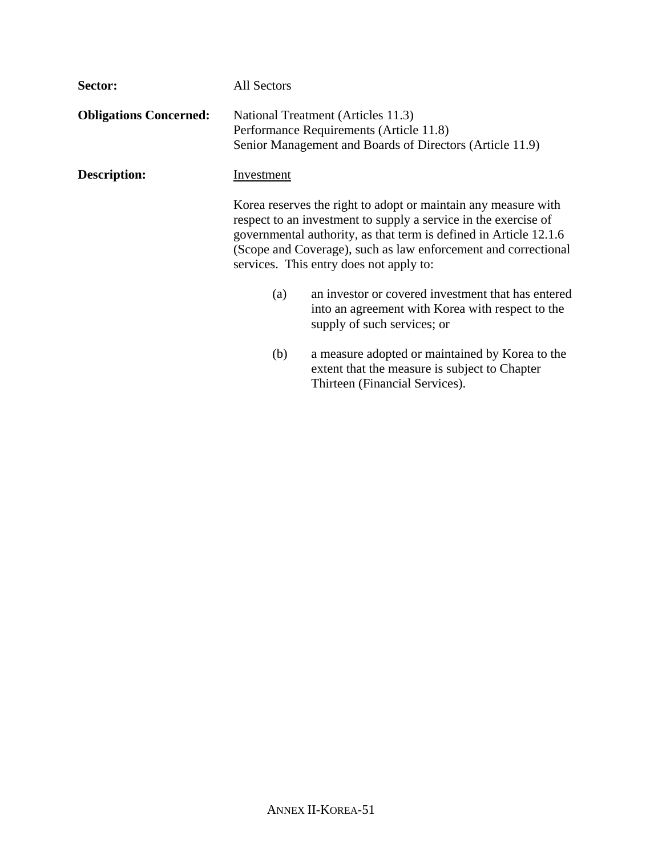| Sector:                       | All Sectors       |                                                                                                                                                                                                                                                                                                                     |  |  |
|-------------------------------|-------------------|---------------------------------------------------------------------------------------------------------------------------------------------------------------------------------------------------------------------------------------------------------------------------------------------------------------------|--|--|
| <b>Obligations Concerned:</b> |                   | National Treatment (Articles 11.3)<br>Performance Requirements (Article 11.8)<br>Senior Management and Boards of Directors (Article 11.9)                                                                                                                                                                           |  |  |
| Description:                  | <b>Investment</b> |                                                                                                                                                                                                                                                                                                                     |  |  |
|                               |                   | Korea reserves the right to adopt or maintain any measure with<br>respect to an investment to supply a service in the exercise of<br>governmental authority, as that term is defined in Article 12.1.6<br>(Scope and Coverage), such as law enforcement and correctional<br>services. This entry does not apply to: |  |  |
|                               | (a)               | an investor or covered investment that has entered<br>into an agreement with Korea with respect to the<br>supply of such services; or                                                                                                                                                                               |  |  |
|                               | (b)               | a measure adopted or maintained by Korea to the<br>extent that the measure is subject to Chapter<br>Thirteen (Financial Services).                                                                                                                                                                                  |  |  |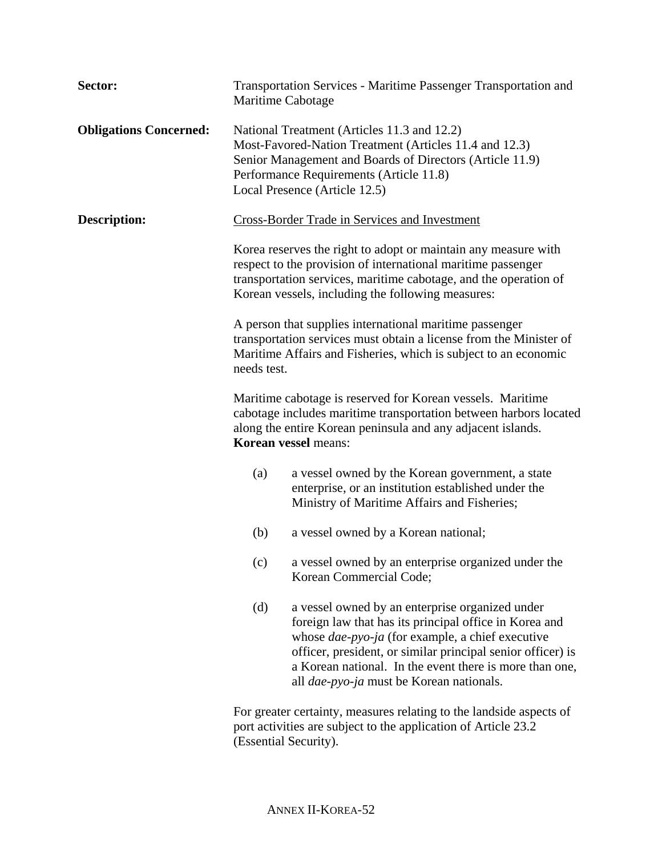| Sector:                       |                                                                                                                                                                                                                                                         | Transportation Services - Maritime Passenger Transportation and<br>Maritime Cabotage                                                                                                                                                                                                                                                       |  |  |  |
|-------------------------------|---------------------------------------------------------------------------------------------------------------------------------------------------------------------------------------------------------------------------------------------------------|--------------------------------------------------------------------------------------------------------------------------------------------------------------------------------------------------------------------------------------------------------------------------------------------------------------------------------------------|--|--|--|
| <b>Obligations Concerned:</b> | National Treatment (Articles 11.3 and 12.2)<br>Most-Favored-Nation Treatment (Articles 11.4 and 12.3)<br>Senior Management and Boards of Directors (Article 11.9)<br>Performance Requirements (Article 11.8)<br>Local Presence (Article 12.5)           |                                                                                                                                                                                                                                                                                                                                            |  |  |  |
| <b>Description:</b>           | Cross-Border Trade in Services and Investment                                                                                                                                                                                                           |                                                                                                                                                                                                                                                                                                                                            |  |  |  |
|                               | Korea reserves the right to adopt or maintain any measure with<br>respect to the provision of international maritime passenger<br>transportation services, maritime cabotage, and the operation of<br>Korean vessels, including the following measures: |                                                                                                                                                                                                                                                                                                                                            |  |  |  |
|                               | A person that supplies international maritime passenger<br>transportation services must obtain a license from the Minister of<br>Maritime Affairs and Fisheries, which is subject to an economic<br>needs test.                                         |                                                                                                                                                                                                                                                                                                                                            |  |  |  |
|                               | Maritime cabotage is reserved for Korean vessels. Maritime<br>cabotage includes maritime transportation between harbors located<br>along the entire Korean peninsula and any adjacent islands.<br><b>Korean vessel means:</b>                           |                                                                                                                                                                                                                                                                                                                                            |  |  |  |
|                               | (a)                                                                                                                                                                                                                                                     | a vessel owned by the Korean government, a state<br>enterprise, or an institution established under the<br>Ministry of Maritime Affairs and Fisheries;                                                                                                                                                                                     |  |  |  |
|                               | (b)                                                                                                                                                                                                                                                     | a vessel owned by a Korean national;                                                                                                                                                                                                                                                                                                       |  |  |  |
|                               |                                                                                                                                                                                                                                                         | (c) a vessel owned by an enterprise organized under the<br>Korean Commercial Code;                                                                                                                                                                                                                                                         |  |  |  |
|                               | (d)                                                                                                                                                                                                                                                     | a vessel owned by an enterprise organized under<br>foreign law that has its principal office in Korea and<br>whose dae-pyo-ja (for example, a chief executive<br>officer, president, or similar principal senior officer) is<br>a Korean national. In the event there is more than one,<br>all <i>dae-pyo-ja</i> must be Korean nationals. |  |  |  |
|                               | For greater certainty, measures relating to the landside aspects of<br>port activities are subject to the application of Article 23.2<br>(Essential Security).                                                                                          |                                                                                                                                                                                                                                                                                                                                            |  |  |  |

ANNEX II-KOREA-52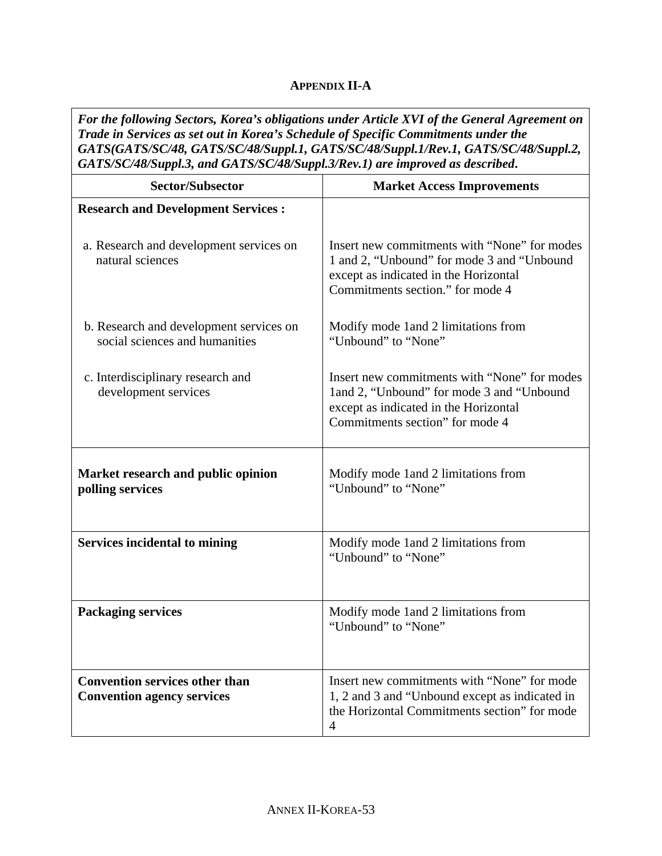## **APPENDIX II-A**

*For the following Sectors, Korea's obligations under Article XVI of the General Agreement on Trade in Services as set out in Korea's Schedule of Specific Commitments under the GATS(GATS/SC/48, GATS/SC/48/Suppl.1, GATS/SC/48/Suppl.1/Rev.1, GATS/SC/48/Suppl.2, GATS/SC/48/Suppl.3, and GATS/SC/48/Suppl.3/Rev.1) are improved as described***.** 

| <b>Sector/Subsector</b>                                                    | <b>Market Access Improvements</b>                                                                                                                                       |
|----------------------------------------------------------------------------|-------------------------------------------------------------------------------------------------------------------------------------------------------------------------|
| <b>Research and Development Services :</b>                                 |                                                                                                                                                                         |
| a. Research and development services on<br>natural sciences                | Insert new commitments with "None" for modes<br>1 and 2, "Unbound" for mode 3 and "Unbound<br>except as indicated in the Horizontal<br>Commitments section." for mode 4 |
| b. Research and development services on<br>social sciences and humanities  | Modify mode 1 and 2 limitations from<br>"Unbound" to "None"                                                                                                             |
| c. Interdisciplinary research and<br>development services                  | Insert new commitments with "None" for modes<br>1 and 2, "Unbound" for mode 3 and "Unbound<br>except as indicated in the Horizontal<br>Commitments section" for mode 4  |
| Market research and public opinion<br>polling services                     | Modify mode 1 and 2 limitations from<br>"Unbound" to "None"                                                                                                             |
| <b>Services incidental to mining</b>                                       | Modify mode 1 and 2 limitations from<br>"Unbound" to "None"                                                                                                             |
| <b>Packaging services</b>                                                  | Modify mode 1 and 2 limitations from<br>"Unbound" to "None"                                                                                                             |
| <b>Convention services other than</b><br><b>Convention agency services</b> | Insert new commitments with "None" for mode<br>1, 2 and 3 and "Unbound except as indicated in<br>the Horizontal Commitments section" for mode<br>$\overline{4}$         |